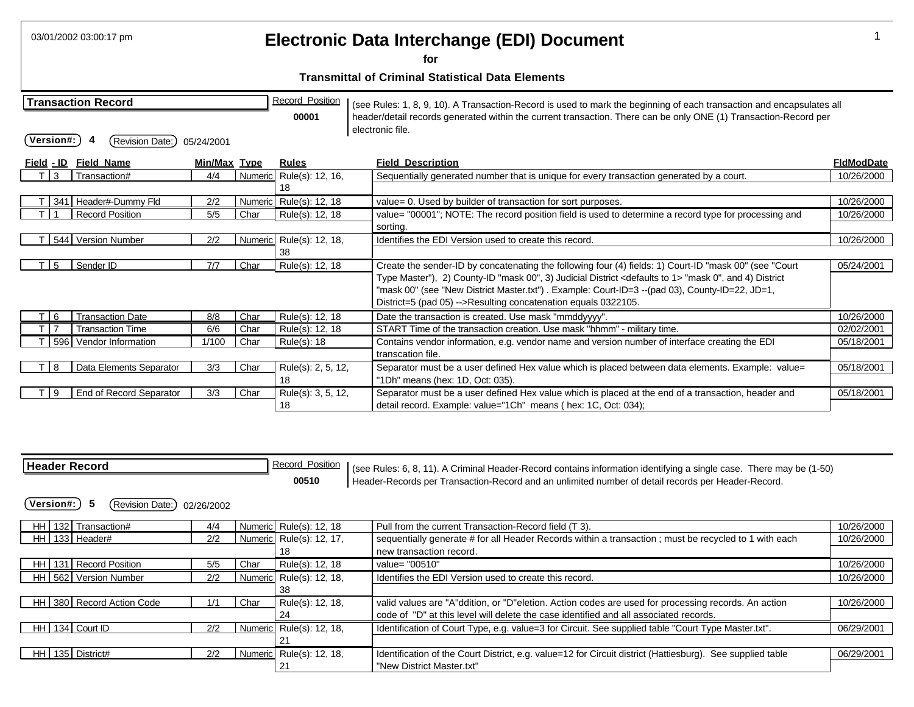|                   | 03/01/2002 03:00:17 pm                        |              |      |                                 |  | Electronic Data Interchange (EDI) Document                                                                                                                                                                                                                                                       |                   |
|-------------------|-----------------------------------------------|--------------|------|---------------------------------|--|--------------------------------------------------------------------------------------------------------------------------------------------------------------------------------------------------------------------------------------------------------------------------------------------------|-------------------|
|                   |                                               |              |      |                                 |  | for<br><b>Transmittal of Criminal Statistical Data Elements</b>                                                                                                                                                                                                                                  |                   |
| Version#:         | <b>Transaction Record</b><br>(Revision Date:) | 05/24/2001   |      | <b>Record Position</b><br>00001 |  | (see Rules: 1, 8, 9, 10). A Transaction-Record is used to mark the beginning of each transaction and encapsulates all<br>header/detail records generated within the current transaction. There can be only ONE (1) Transaction-Record per<br>electronic file.                                    |                   |
| <u>Field - ID</u> | <b>Field Name</b>                             | Min/Max Type |      | <b>Rules</b>                    |  | <b>Field Description</b>                                                                                                                                                                                                                                                                         | <b>FIdModDate</b> |
| 3                 | Transaction#                                  | 4/4          |      | Numeric Rule(s): 12, 16,<br>18  |  | Sequentially generated number that is unique for every transaction generated by a court.                                                                                                                                                                                                         | 10/26/2000        |
|                   | 341 Header#-Dummy Fld                         | 2/2          |      | Numeric Rule(s): 12, 18         |  | value= 0. Used by builder of transaction for sort purposes.                                                                                                                                                                                                                                      | 10/26/2000        |
|                   | <b>Record Position</b>                        | 5/5          | Char | Rule(s): 12, 18                 |  | value= "00001"; NOTE: The record position field is used to determine a record type for processing and                                                                                                                                                                                            | 10/26/2000        |
|                   |                                               |              |      |                                 |  | sortina.                                                                                                                                                                                                                                                                                         |                   |
|                   | 544 Version Number                            | 2/2          |      | Numeric Rule(s): 12, 18,        |  | Identifies the EDI Version used to create this record.                                                                                                                                                                                                                                           | 10/26/2000        |
|                   |                                               |              |      | 38                              |  |                                                                                                                                                                                                                                                                                                  |                   |
| 5                 | Sender ID                                     | 7/7          | Char | Rule(s): 12, 18                 |  | Create the sender-ID by concatenating the following four (4) fields: 1) Court-ID "mask 00" (see "Court                                                                                                                                                                                           | 05/24/2001        |
|                   |                                               |              |      |                                 |  | Type Master"), 2) County-ID "mask 00", 3) Judicial District <defaults 1="" to=""> "mask 0", and 4) District<br/>"mask 00" (see "New District Master.txt") . Example: Court-ID=3 --(pad 03), County-ID=22, JD=1,<br/>District=5 (pad 05) --&gt;Resulting concatenation equals 0322105.</defaults> |                   |
| $T$ 6             | <b>Transaction Date</b>                       | 8/8          | Char | Rule(s): 12, 18                 |  | Date the transaction is created. Use mask "mmddyyyy".                                                                                                                                                                                                                                            | 10/26/2000        |
|                   | <b>Transaction Time</b>                       | 6/6          | Char | Rule(s): 12, 18                 |  | START Time of the transaction creation. Use mask "hhmm" - military time.                                                                                                                                                                                                                         | 02/02/2001        |
|                   | 596 Vendor Information                        | 1/100        | Char | Rule(s): 18                     |  | Contains vendor information, e.g. vendor name and version number of interface creating the EDI                                                                                                                                                                                                   | 05/18/2001        |
|                   |                                               |              |      |                                 |  | transcation file.                                                                                                                                                                                                                                                                                |                   |
| 8                 | Data Elements Separator                       | 3/3          | Char | Rule(s): 2, 5, 12,              |  | Separator must be a user defined Hex value which is placed between data elements. Example: value=                                                                                                                                                                                                | 05/18/2001        |
|                   |                                               |              |      | 18                              |  | "1Dh" means (hex: 1D, Oct: 035).                                                                                                                                                                                                                                                                 |                   |
| 9                 | End of Record Separator                       | 3/3          | Char | Rule(s): 3, 5, 12,              |  | Separator must be a user defined Hex value which is placed at the end of a transaction, header and                                                                                                                                                                                               | 05/18/2001        |
|                   |                                               |              |      | 18                              |  | detail record. Example: value="1Ch" means (hex: 1C, Oct: 034);                                                                                                                                                                                                                                   |                   |

| <b>Header Record</b>               |            |      | <b>Record Position</b><br>00510 | (see Rules: 6, 8, 11). A Criminal Header-Record contains information identifying a single case. There may be (1-50)<br>Header-Records per Transaction-Record and an unlimited number of detail records per Header-Record. |            |
|------------------------------------|------------|------|---------------------------------|---------------------------------------------------------------------------------------------------------------------------------------------------------------------------------------------------------------------------|------------|
| 5<br>(Revision Date:)<br>Version#: | 02/26/2002 |      |                                 |                                                                                                                                                                                                                           |            |
| 132 Transaction#<br>HH I           | 4/4        |      | Numeric Rule(s): 12, 18         | Pull from the current Transaction-Record field (T 3).                                                                                                                                                                     | 10/26/2000 |
| HH 133 Header#                     | 2/2        |      | Numeric Rule(s): 12, 17,        | sequentially generate # for all Header Records within a transaction ; must be recycled to 1 with each                                                                                                                     | 10/26/2000 |
|                                    |            |      | 18                              | new transaction record.                                                                                                                                                                                                   |            |
| HH   131   Record Position         | 5/5        | Char | Rule(s): 12, 18                 | value= "00510"                                                                                                                                                                                                            | 10/26/2000 |
| HH 562 Version Number              | 2/2        |      | Numeric Rule(s): 12, 18,        | Identifies the EDI Version used to create this record.                                                                                                                                                                    | 10/26/2000 |
|                                    |            |      | 38                              |                                                                                                                                                                                                                           |            |
| HH 380 Record Action Code          | 1/1        | Char | Rule(s): 12, 18,                | valid values are "A"ddition, or "D"eletion. Action codes are used for processing records. An action                                                                                                                       | 10/26/2000 |
|                                    |            |      | 24                              | code of "D" at this level will delete the case identified and all associated records.                                                                                                                                     |            |
| 134 Court ID<br>HH I               | 2/2        |      | Numeric Rule(s): 12, 18,        | Identification of Court Type, e.g. value=3 for Circuit. See supplied table "Court Type Master.txt".                                                                                                                       | 06/29/2001 |
|                                    |            |      | 21                              |                                                                                                                                                                                                                           |            |
| 135 District#<br>HH I              | 2/2        |      | Numeric Rule(s): 12, 18,        | Identification of the Court District, e.g. value=12 for Circuit district (Hattiesburg). See supplied table                                                                                                                | 06/29/2001 |
|                                    |            |      | ∠                               | "New District Master.txt"                                                                                                                                                                                                 |            |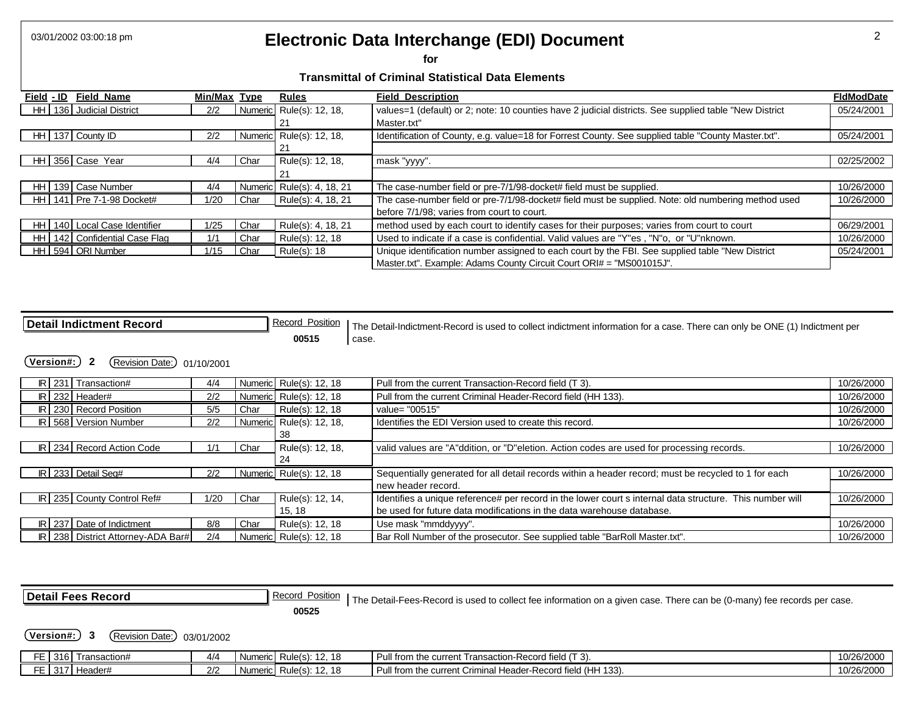# 03/01/2002 03:00:18 pm 2 **Electronic Data Interchange (EDI) Document**

**for** 

| <b>Field Name</b><br>Field - ID    | Min/Max Type |      | <b>Rules</b>               | <b>Field Description</b>                                                                               | <b>FIdModDate</b> |
|------------------------------------|--------------|------|----------------------------|--------------------------------------------------------------------------------------------------------|-------------------|
| 136 Judicial District<br>HH I      | 2/2          |      | Numeric Rule(s): 12, 18,   | values=1 (default) or 2; note: 10 counties have 2 judicial districts. See supplied table "New District | 05/24/2001        |
|                                    |              |      | 2 <sup>1</sup>             | Master.txt"                                                                                            |                   |
| 137 County ID<br>HHI               | 2/2          |      | Numeric Rule(s): 12, 18,   | Identification of County, e.g. value=18 for Forrest County. See supplied table "County Master.txt".    | 05/24/2001        |
|                                    |              |      | 2 <sup>1</sup>             |                                                                                                        |                   |
| HH 356 Case Year                   | 4/4          | Char | Rule(s): 12, 18,           | mask "yyyy".                                                                                           | 02/25/2002        |
|                                    |              |      | 2 <sup>1</sup>             |                                                                                                        |                   |
| 139 Case Number<br>HH I            | 4/4          |      | Numeric Rule(s): 4, 18, 21 | The case-number field or pre-7/1/98-docket# field must be supplied.                                    | 10/26/2000        |
| HH 141 Pre 7-1-98 Docket#          | 1/20         | Char | Rule(s): 4, 18, 21         | The case-number field or pre-7/1/98-docket# field must be supplied. Note: old numbering method used    | 10/26/2000        |
|                                    |              |      |                            | before 7/1/98: varies from court to court.                                                             |                   |
| 140 Local Case Identifier<br>HH I  | 1/25         | Char | Rule(s): 4, 18, 21         | method used by each court to identify cases for their purposes; varies from court to court             | 06/29/2001        |
| 142 Confidential Case Flag<br>HH I | 1/1          | Char | Rule(s): 12, 18            | Used to indicate if a case is confidential. Valid values are "Y"es, "N"o, or "U"nknown.                | 10/26/2000        |
| HH 594 ORI Number                  | 1/15         | Char | Rule(s): 18                | Unique identification number assigned to each court by the FBI. See supplied table "New District       | 05/24/2001        |
|                                    |              |      |                            | Master.txt". Example: Adams County Circuit Court ORI# = "MS001015J".                                   |                   |

| <b>Detail Indictment Record</b>                                          |      |      | <b>Record Position</b>   |       | The Detail-Indictment-Record is used to collect indictment information for a case. There can only be ONE (1) Indictment per |            |  |  |  |
|--------------------------------------------------------------------------|------|------|--------------------------|-------|-----------------------------------------------------------------------------------------------------------------------------|------------|--|--|--|
|                                                                          |      |      | 00515                    | case. |                                                                                                                             |            |  |  |  |
| (Version#:)<br>$\overline{\mathbf{2}}$<br>(Revision Date:)<br>01/10/2001 |      |      |                          |       |                                                                                                                             |            |  |  |  |
| $IR$ 231 Transaction#                                                    | 4/4  |      | Numeric Rule(s): 12, 18  |       | Pull from the current Transaction-Record field (T 3).                                                                       | 10/26/2000 |  |  |  |
| $IR$ 232 Header#                                                         | 2/2  |      | Numeric Rule(s): 12, 18  |       | Pull from the current Criminal Header-Record field (HH 133).                                                                | 10/26/2000 |  |  |  |
| IR 230 Record Position                                                   | 5/5  | Char | Rule(s): 12, 18          |       | value= "00515"                                                                                                              | 10/26/2000 |  |  |  |
| IR 568 Version Number                                                    | 2/2  |      | Numeric Rule(s): 12, 18, |       | Identifies the EDI Version used to create this record.                                                                      | 10/26/2000 |  |  |  |
|                                                                          |      |      | 38                       |       |                                                                                                                             |            |  |  |  |
| IR 234 Record Action Code                                                | 1/1  | Char | Rule(s): 12, 18,         |       | valid values are "A"ddition, or "D"eletion. Action codes are used for processing records.                                   | 10/26/2000 |  |  |  |
|                                                                          |      |      | 24                       |       |                                                                                                                             |            |  |  |  |
| $\overline{IR}$ 233 Detail Seq#                                          | 2/2  |      | Numeric Rule(s): 12, 18  |       | Sequentially generated for all detail records within a header record; must be recycled to 1 for each                        | 10/26/2000 |  |  |  |
|                                                                          |      |      |                          |       | new header record.                                                                                                          |            |  |  |  |
| IR 235 County Control Ref#                                               | 1/20 | Char | Rule(s): 12, 14,         |       | Identifies a unique reference# per record in the lower court s internal data structure. This number will                    | 10/26/2000 |  |  |  |
|                                                                          |      |      | 15, 18                   |       | be used for future data modifications in the data warehouse database.                                                       |            |  |  |  |
| IR 237 Date of Indictment                                                | 8/8  | Char | Rule(s): 12, 18          |       | Use mask "mmddyyyy".                                                                                                        | 10/26/2000 |  |  |  |
| IR   238   District Attorney-ADA Bar#                                    | 2/4  |      | Numeric Rule(s): 12, 18  |       | Bar Roll Number of the prosecutor. See supplied table "BarRoll Master.txt".                                                 | 10/26/2000 |  |  |  |

| <b>Detail Fees Record</b> |                  |                             | Record Position   The Detail-Fees-Record is used to collect fee information on a given case. There can be (0-many) fee records per case. |                         |                                                              |            |  |
|---------------------------|------------------|-----------------------------|------------------------------------------------------------------------------------------------------------------------------------------|-------------------------|--------------------------------------------------------------|------------|--|
|                           | <b>Version#:</b> | (Revision Date:) 03/01/2002 |                                                                                                                                          | 00525                   |                                                              |            |  |
|                           |                  | FE 316 Transaction#         | 4/4                                                                                                                                      | Numeric Rule(s): 12, 18 | Pull from the current Transaction-Record field (T 3).        | 10/26/2000 |  |
|                           |                  | FE 317 Header#              | 2/2                                                                                                                                      | Numeric Rule(s): 12, 18 | Pull from the current Criminal Header-Record field (HH 133). | 10/26/2000 |  |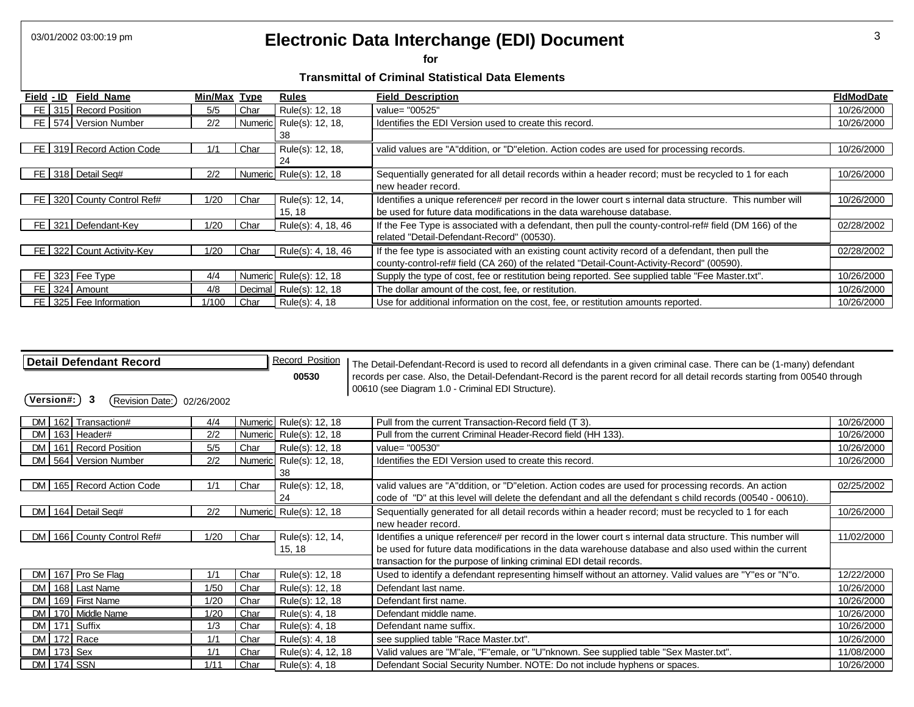### 03/01/2002 03:00:19 pm **3 Electronic Data Interchange (EDI) Document 3 3**

**for** 

| Field - ID | <b>Field Name</b>          | Min/Max Type |         | <b>Rules</b>             | <b>Field Description</b>                                                                                 | <b>FIdModDate</b> |
|------------|----------------------------|--------------|---------|--------------------------|----------------------------------------------------------------------------------------------------------|-------------------|
|            | FE 315 Record Position     | 5/5          | Char    | Rule(s): 12, 18          | value= "00525"                                                                                           | 10/26/2000        |
|            | FE   574   Version Number  | 2/2          |         | Numeric Rule(s): 12, 18, | Identifies the EDI Version used to create this record.                                                   | 10/26/2000        |
|            |                            |              |         | 38                       |                                                                                                          |                   |
|            | FE 319 Record Action Code  |              | Char    | Rule(s): 12, 18,         | valid values are "A"ddition, or "D"eletion. Action codes are used for processing records.                | 10/26/2000        |
|            |                            |              |         | 24                       |                                                                                                          |                   |
|            | FE 318 Detail Seq#         | 2/2          |         | Numeric Rule(s): 12, 18  | Sequentially generated for all detail records within a header record; must be recycled to 1 for each     | 10/26/2000        |
|            |                            |              |         |                          | new header record.                                                                                       |                   |
|            | FE 320 County Control Ref# | 1/20         | Char    | Rule(s): 12, 14,         | Identifies a unique reference# per record in the lower court s internal data structure. This number will | 10/26/2000        |
|            |                            |              |         | 15, 18                   | be used for future data modifications in the data warehouse database.                                    |                   |
| FE I       | 321 Defendant-Key          | 1/20         | Char    | Rule(s): 4, 18, 46       | If the Fee Type is associated with a defendant, then pull the county-control-ref# field (DM 166) of the  | 02/28/2002        |
|            |                            |              |         |                          | related "Detail-Defendant-Record" (00530).                                                               |                   |
|            | FE 322 Count Activity-Key  | 1/20         | Char    | Rule(s): 4, 18, 46       | If the fee type is associated with an existing count activity record of a defendant, then pull the       | 02/28/2002        |
|            |                            |              |         |                          | county-control-ref# field (CA 260) of the related "Detail-Count-Activity-Record" (00590).                |                   |
|            | FE 323 Fee Type            | 4/4          |         | Numeric Rule(s): 12, 18  | Supply the type of cost, fee or restitution being reported. See supplied table "Fee Master.txt".         | 10/26/2000        |
|            | FE 324 Amount              | 4/8          | Decimal | Rule(s): 12, 18          | The dollar amount of the cost, fee, or restitution.                                                      | 10/26/2000        |
|            | FE 325 Fee Information     | 1/100        | Char    | Rule(s): 4, 18           | Use for additional information on the cost, fee, or restitution amounts reported.                        | 10/26/2000        |

| <b>Detail Defendant Record</b>     |            |      | <b>Record Position</b>   | The Detail-Defendant-Record is used to record all defendants in a given criminal case. There can be (1-many) defendant      |            |
|------------------------------------|------------|------|--------------------------|-----------------------------------------------------------------------------------------------------------------------------|------------|
|                                    |            |      | 00530                    | records per case. Also, the Detail-Defendant-Record is the parent record for all detail records starting from 00540 through |            |
|                                    |            |      |                          | 00610 (see Diagram 1.0 - Criminal EDI Structure).                                                                           |            |
| 3<br>Version#:<br>(Revision Date:) | 02/26/2002 |      |                          |                                                                                                                             |            |
| DM 162 Transaction#                | 4/4        |      | Numeric Rule(s): 12, 18  | Pull from the current Transaction-Record field (T 3).                                                                       | 10/26/2000 |
| DM 163 Header#                     | 2/2        |      | Numeric Rule(s): 12, 18  | Pull from the current Criminal Header-Record field (HH 133).                                                                | 10/26/2000 |
| 161 Record Position<br><b>DM</b>   | 5/5        | Char | Rule(s): 12, 18          | value= "00530"                                                                                                              | 10/26/2000 |
| DM 564 Version Number              | 2/2        |      | Numeric Rule(s): 12, 18, | Identifies the EDI Version used to create this record.                                                                      | 10/26/2000 |
|                                    |            |      | 38                       |                                                                                                                             |            |
| DM   165   Record Action Code      | 1/1        | Char | Rule(s): 12, 18,         | valid values are "A"ddition, or "D"eletion. Action codes are used for processing records. An action                         | 02/25/2002 |
|                                    |            |      | 24                       | code of "D" at this level will delete the defendant and all the defendant s child records (00540 - 00610).                  |            |
| DM 164 Detail Seq#                 | 2/2        |      | Numeric Rule(s): 12, 18  | Sequentially generated for all detail records within a header record; must be recycled to 1 for each                        | 10/26/2000 |
|                                    |            |      |                          | new header record.                                                                                                          |            |
| DM   166   County Control Ref#     | 1/20       | Char | Rule(s): 12, 14,         | Identifies a unique reference# per record in the lower court s internal data structure. This number will                    | 11/02/2000 |
|                                    |            |      | 15, 18                   | be used for future data modifications in the data warehouse database and also used within the current                       |            |
|                                    |            |      |                          | transaction for the purpose of linking criminal EDI detail records.                                                         |            |
| 167 Pro Se Flag<br>DM I            | 1/1        | Char | Rule(s): 12, 18          | Used to identify a defendant representing himself without an attorney. Valid values are "Y"es or "N"o.                      | 12/22/2000 |
| DM I<br>168 Last Name              | 1/50       | Char | Rule(s): 12, 18          | Defendant last name.                                                                                                        | 10/26/2000 |
| DM 169 First Name                  | 1/20       | Char | Rule(s): 12, 18          | Defendant first name.                                                                                                       | 10/26/2000 |
| DM 170 Middle Name                 | 1/20       | Char | Rule(s): 4, 18           | Defendant middle name.                                                                                                      | 10/26/2000 |
| DM 171 Suffix                      | 1/3        | Char | Rule(s): 4, 18           | Defendant name suffix.                                                                                                      | 10/26/2000 |
| 172 Race<br><b>DM</b>              | 1/1        | Char | Rule(s): 4, 18           | see supplied table "Race Master.txt".                                                                                       | 10/26/2000 |
| 173 Sex<br>DM                      | 1/1        | Char | Rule(s): 4, 12, 18       | Valid values are "M"ale, "F"emale, or "U"nknown. See supplied table "Sex Master.txt".                                       | 11/08/2000 |
| <b>DM</b> 174 SSN                  | 1/11       | Char | Rule(s): 4, 18           | Defendant Social Security Number. NOTE: Do not include hyphens or spaces.                                                   | 10/26/2000 |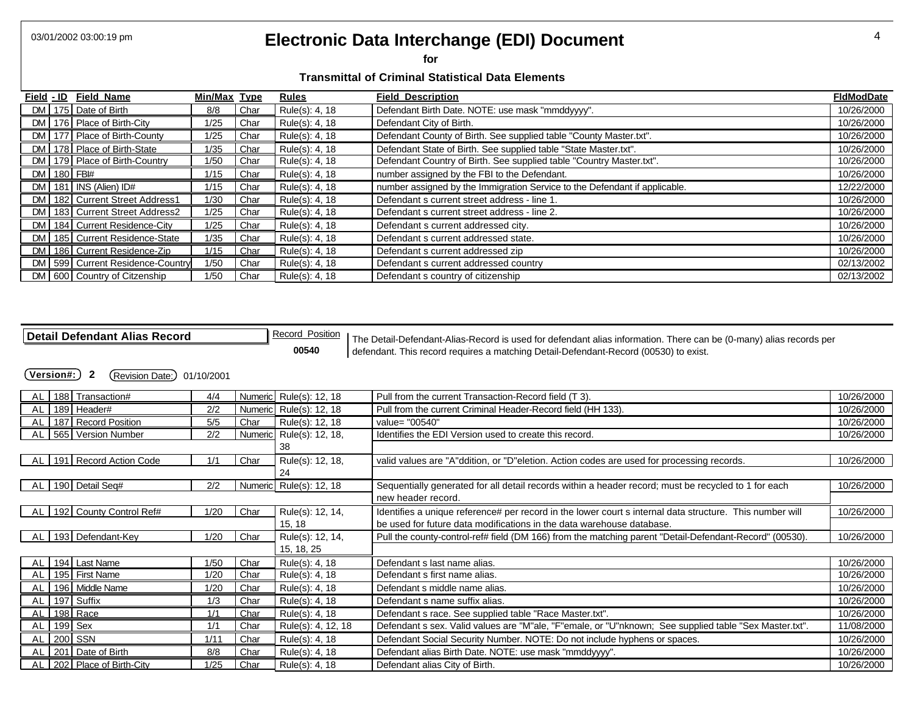### 03/01/2002 03:00:19 pm **Electronic Data Interchange (EDI) Document** 4

**for** 

#### **Transmittal of Criminal Statistical Data Elements**

| Field - ID Field Name    |                                    | Min/Max Type |      | Rules          | <b>Field Description</b>                                                   | <b>FIdModDate</b> |
|--------------------------|------------------------------------|--------------|------|----------------|----------------------------------------------------------------------------|-------------------|
| DM 175 Date of Birth     |                                    | 8/8          | Char | Rule(s): 4, 18 | Defendant Birth Date. NOTE: use mask "mmddyyyy".                           | 10/26/2000        |
|                          | DM 176 Place of Birth-City         | 1/25         | Char | Rule(s): 4, 18 | Defendant City of Birth.                                                   | 10/26/2000        |
|                          | DM   177   Place of Birth-County   | 1/25         | Char | Rule(s): 4, 18 | Defendant County of Birth. See supplied table "County Master.txt".         | 10/26/2000        |
|                          | DM 178 Place of Birth-State        | 1/35         | Char | Rule(s): 4, 18 | Defendant State of Birth. See supplied table "State Master.txt".           | 10/26/2000        |
|                          | DM   179   Place of Birth-Country  | 1/50         | Char | Rule(s): 4, 18 | Defendant Country of Birth. See supplied table "Country Master.txt".       | 10/26/2000        |
| DM 180 FBI#              |                                    | 1/15         | Char | Rule(s): 4, 18 | number assigned by the FBI to the Defendant.                               | 10/26/2000        |
| $DM$ 181 INS (Alien) ID# |                                    | 1/15         | Char | Rule(s): 4, 18 | number assigned by the Immigration Service to the Defendant if applicable. | 12/22/2000        |
|                          | DM 182 Current Street Address1     | 1/30         | Char | Rule(s): 4, 18 | Defendant s current street address - line 1.                               | 10/26/2000        |
|                          | DM   183   Current Street Address2 | 1/25         | Char | Rule(s): 4, 18 | Defendant s current street address - line 2.                               | 10/26/2000        |
|                          | DM   184   Current Residence-City  | 1/25         | Char | Rule(s): 4, 18 | Defendant s current addressed city.                                        | 10/26/2000        |
|                          | DM   185   Current Residence-State | 1/35         | Char | Rule(s): 4, 18 | Defendant s current addressed state.                                       | 10/26/2000        |
|                          | DM 186 Current Residence-Zip       | 1/15         | Char | Rule(s): 4, 18 | Defendant s current addressed zip                                          | 10/26/2000        |
|                          | DM 599 Current Residence-Country   | 1/50         | Char | Rule(s): 4, 18 | Defendant s current addressed country                                      | 02/13/2002        |
|                          | DM 600 Country of Citzenship       | 1/50         | Char | Rule(s): 4, 18 | Defendant s country of citizenship                                         | 02/13/2002        |

**Detail Defendant Alias Record**<br> **Record Position** The Detail-Defendant-Alias-Record is used for defendant alias information. There can be (0-many) alias records per<br> **Detail Defendant** Record (00530) to exist. **00540** defendant. This record requires a matching Detail-Defendant-Record (00530) to exist.

**(Version#:) 2** (Revision Date:) 01/10/2001

| AL | 188 | Transaction#            | 4/4  |      | Numeric Rule(s): 12, 18  | Pull from the current Transaction-Record field (T 3).                                                    | 10/26/2000 |
|----|-----|-------------------------|------|------|--------------------------|----------------------------------------------------------------------------------------------------------|------------|
| AL |     | 189 Header#             | 2/2  |      | Numeric Rule(s): 12, 18  | Pull from the current Criminal Header-Record field (HH 133).                                             | 10/26/2000 |
| AL |     | 187 Record Position     | 5/5  | Char | Rule(s): 12, 18          | value= "00540"                                                                                           | 10/26/2000 |
| AL |     | 565 Version Number      | 2/2  |      | Numeric Rule(s): 12, 18, | Identifies the EDI Version used to create this record.                                                   | 10/26/2000 |
|    |     |                         |      |      | 38                       |                                                                                                          |            |
| AL |     | 191 Record Action Code  | 1/1  | Char | Rule(s): 12, 18,         | valid values are "A"ddition, or "D"eletion. Action codes are used for processing records.                | 10/26/2000 |
|    |     |                         |      |      | 24                       |                                                                                                          |            |
| AL |     | 190 Detail Seq#         | 2/2  |      | Numeric Rule(s): 12, 18  | Sequentially generated for all detail records within a header record; must be recycled to 1 for each     | 10/26/2000 |
|    |     |                         |      |      |                          | new header record.                                                                                       |            |
| AL |     | 192 County Control Ref# | 1/20 | Char | Rule(s): 12, 14,         | Identifies a unique reference# per record in the lower court s internal data structure. This number will | 10/26/2000 |
|    |     |                         |      |      | 15, 18                   | be used for future data modifications in the data warehouse database.                                    |            |
| AL |     | 193 Defendant-Key       | 1/20 | Char | Rule(s): 12, 14,         | Pull the county-control-ref# field (DM 166) from the matching parent "Detail-Defendant-Record" (00530).  | 10/26/2000 |
|    |     |                         |      |      | 15, 18, 25               |                                                                                                          |            |
| AL | 194 | Last Name               | 1/50 | Char | Rule(s): 4, 18           | Defendant s last name alias.                                                                             | 10/26/2000 |
| AL |     | 195 First Name          | 1/20 | Char | Rule(s): 4, 18           | Defendant s first name alias.                                                                            | 10/26/2000 |
| AL |     | 196 Middle Name         | 1/20 | Char | Rule(s): 4, 18           | Defendant s middle name alias.                                                                           | 10/26/2000 |
| AL |     | 197 Suffix              | 1/3  | Char | Rule(s): 4, 18           | Defendant s name suffix alias.                                                                           | 10/26/2000 |
| AL |     | 198 Race                | 1/1  | Char | Rule(s): 4, 18           | Defendant s race. See supplied table "Race Master.txt".                                                  | 10/26/2000 |
| AL |     | 199 Sex                 | 1/1  | Char | Rule(s): 4, 12, 18       | Defendant s sex. Valid values are "M"ale, "F"emale, or "U"nknown; See supplied table "Sex Master.txt".   | 11/08/2000 |
| AL |     | 200 SSN                 | 1/11 | Char | Rule(s): 4, 18           | Defendant Social Security Number. NOTE: Do not include hyphens or spaces.                                | 10/26/2000 |
| AL |     | 201 Date of Birth       | 8/8  | Char | Rule(s): 4, 18           | Defendant alias Birth Date. NOTE: use mask "mmddyyyy".                                                   | 10/26/2000 |
| AL |     | 202 Place of Birth-City | 1/25 | Char | Rule(s): 4, 18           | Defendant alias City of Birth.                                                                           | 10/26/2000 |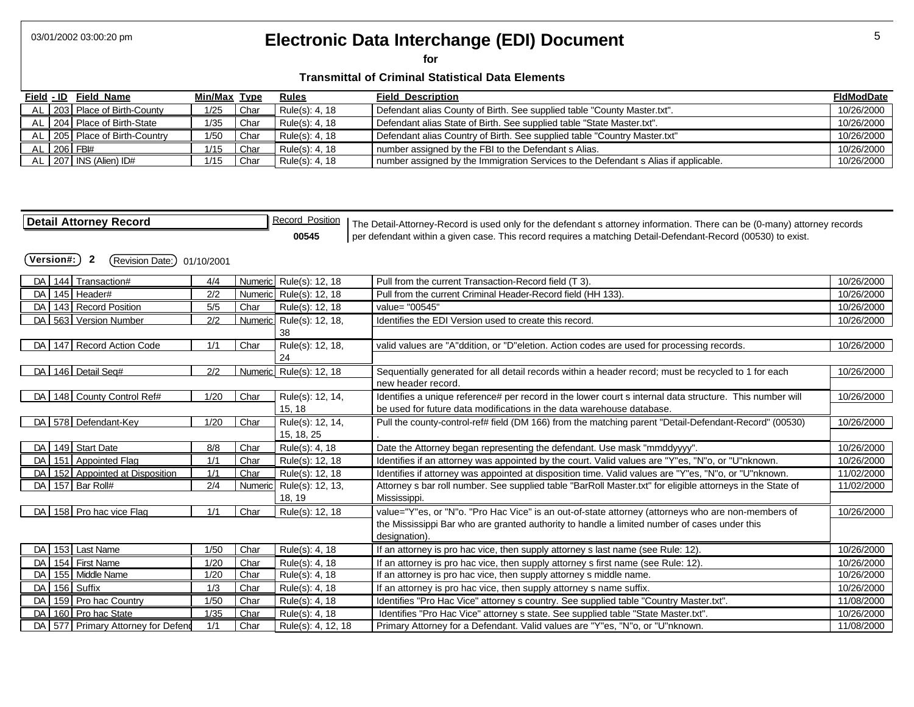# 03/01/2002 03:00:20 pm **5 Electronic Data Interchange (EDI) Document 1997 10:00:00:20 pm** 5

**for** 

| Field - ID | Field Name                      | Min/Max Type |      | <b>Rules</b>   | <b>Field Description</b>                                                            | <b>FidModDate</b> |
|------------|---------------------------------|--------------|------|----------------|-------------------------------------------------------------------------------------|-------------------|
|            | AL 203 Place of Birth-County    | 1/25         | Char | Rule(s): 4, 18 | Defendant alias County of Birth. See supplied table "County Master.txt".            | 10/26/2000        |
|            | AL   204   Place of Birth-State | 1/35         | Char | Rule(s): 4, 18 | Defendant alias State of Birth. See supplied table "State Master.txt".              | 10/26/2000        |
|            | AL 205 Place of Birth-Country   | 1/50         | Char | Rule(s): 4, 18 | Defendant alias Country of Birth. See supplied table "Country Master.txt"           | 10/26/2000        |
|            | AL 206 FBI#                     | 1/15         | Char | Rule(s): 4, 18 | number assigned by the FBI to the Defendant s Alias.                                | 10/26/2000        |
|            | AL $\vert$ 207 INS (Alien) ID#  | 1/15         | Char | Rule(s): 4, 18 | number assigned by the Immigration Services to the Defendant s Alias if applicable. | 10/26/2000        |

| <b>Detail Attorney Record</b>                   |            |      | <b>Record Position</b>   | The Detail-Attorney-Record is used only for the defendant s attorney information. There can be (0-many) attorney records |            |
|-------------------------------------------------|------------|------|--------------------------|--------------------------------------------------------------------------------------------------------------------------|------------|
|                                                 |            |      | 00545                    | per defendant within a given case. This record requires a matching Detail-Defendant-Record (00530) to exist.             |            |
| (Version#:)<br>$\mathbf{2}$<br>(Revision Date:) | 01/10/2001 |      |                          |                                                                                                                          |            |
| 144 Transaction#<br>DA I                        | 4/4        |      | Numeric Rule(s): 12, 18  | Pull from the current Transaction-Record field (T 3).                                                                    | 10/26/2000 |
| 145 Header#<br>DA I                             | 2/2        |      | Numeric Rule(s): 12, 18  | Pull from the current Criminal Header-Record field (HH 133).                                                             | 10/26/2000 |
| 143 Record Position<br>DA                       | 5/5        | Char | Rule(s): 12, 18          | value= "00545"                                                                                                           | 10/26/2000 |
| DA 563 Version Number                           | 2/2        |      | Numeric Rule(s): 12, 18, | Identifies the EDI Version used to create this record.                                                                   | 10/26/2000 |
|                                                 |            |      | 38                       |                                                                                                                          |            |
| DA 147 Record Action Code                       | 1/1        | Char | Rule(s): 12, 18,         | valid values are "A"ddition, or "D"eletion. Action codes are used for processing records.                                | 10/26/2000 |
|                                                 |            |      | 24                       |                                                                                                                          |            |
| DA 146 Detail Seq#                              | 2/2        |      | Numeric Rule(s): 12, 18  | Sequentially generated for all detail records within a header record; must be recycled to 1 for each                     | 10/26/2000 |
|                                                 |            |      |                          | new header record.                                                                                                       |            |
| 148 County Control Ref#<br>DA I                 | 1/20       | Char | Rule(s): 12, 14,         | Identifies a unique reference# per record in the lower court s internal data structure. This number will                 | 10/26/2000 |
|                                                 |            |      | 15, 18                   | be used for future data modifications in the data warehouse database.                                                    |            |
| DA 578 Defendant-Key                            | 1/20       | Char | Rule(s): 12, 14,         | Pull the county-control-ref# field (DM 166) from the matching parent "Detail-Defendant-Record" (00530)                   | 10/26/2000 |
|                                                 |            |      | 15, 18, 25               |                                                                                                                          |            |
| DA 149 Start Date                               | 8/8        | Char | Rule(s): 4, 18           | Date the Attorney began representing the defendant. Use mask "mmddyyyy".                                                 | 10/26/2000 |
| 151 Appointed Flag<br>DA I                      | 1/1        | Char | Rule(s): 12, 18          | Identifies if an attorney was appointed by the court. Valid values are "Y"es, "N"o, or "U"nknown.                        | 10/26/2000 |
| DA 152 Appointed at Disposition                 | 1/1        | Char | Rule(s): 12, 18          | Identifies if attorney was appointed at disposition time. Valid values are "Y"es, "N"o, or "U"nknown.                    | 11/02/2000 |
| DA 157 Bar Roll#                                | 2/4        |      | Numeric Rule(s): 12, 13, | Attorney s bar roll number. See supplied table "BarRoll Master.txt" for eligible attorneys in the State of               | 11/02/2000 |
|                                                 |            |      | 18, 19                   | Mississippi.                                                                                                             |            |
| DA 158 Pro hac vice Flag                        | 1/1        | Char | Rule(s): 12, 18          | value="Y"es, or "N"o. "Pro Hac Vice" is an out-of-state attorney (attorneys who are non-members of                       | 10/26/2000 |
|                                                 |            |      |                          | the Mississippi Bar who are granted authority to handle a limited number of cases under this                             |            |
|                                                 |            |      |                          | designation).                                                                                                            |            |
| 153 Last Name<br>DA                             | 1/50       | Char | Rule(s): 4, 18           | If an attorney is pro hac vice, then supply attorney s last name (see Rule: 12).                                         | 10/26/2000 |
| 154 First Name<br>DA                            | 1/20       | Char | Rule(s): 4, 18           | If an attorney is pro hac vice, then supply attorney s first name (see Rule: 12).                                        | 10/26/2000 |
| 155 Middle Name<br>DA                           | 1/20       | Char | Rule(s): 4, 18           | If an attorney is pro hac vice, then supply attorney s middle name.                                                      | 10/26/2000 |
| 156 Suffix<br>DA                                | 1/3        | Char | Rule(s): 4, 18           | If an attorney is pro hac vice, then supply attorney s name suffix.                                                      | 10/26/2000 |
| 159 Pro hac Country<br>DA                       | 1/50       | Char | Rule(s): 4, 18           | Identifies "Pro Hac Vice" attorney s country. See supplied table "Country Master.txt".                                   | 11/08/2000 |
| 160 Pro hac State<br>DA I                       | 1/35       | Char | Rule(s): 4, 18           | Identifies "Pro Hac Vice" attorney s state. See supplied table "State Master.txt".                                       | 10/26/2000 |
| DA 577 Primary Attorney for Defend              | 1/1        | Char | Rule(s): 4, 12, 18       | Primary Attorney for a Defendant. Valid values are "Y"es, "N"o, or "U"nknown.                                            | 11/08/2000 |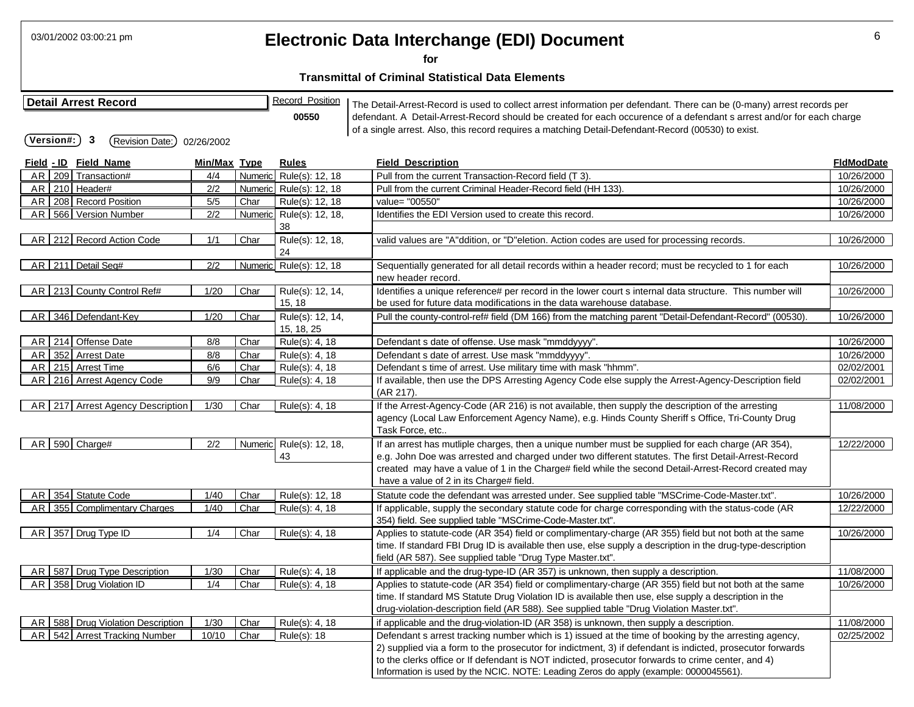| 03/01/2002 03:00:21 pm<br>Electronic Data Interchange (EDI) Document<br>for                                                                                                                                                                                                                                                                                                                                                                                                    |              |      |                                |                                                                                                                                                                                                                                                                                                                                                                                                                 |                   |  |  |  |  |  |  |
|--------------------------------------------------------------------------------------------------------------------------------------------------------------------------------------------------------------------------------------------------------------------------------------------------------------------------------------------------------------------------------------------------------------------------------------------------------------------------------|--------------|------|--------------------------------|-----------------------------------------------------------------------------------------------------------------------------------------------------------------------------------------------------------------------------------------------------------------------------------------------------------------------------------------------------------------------------------------------------------------|-------------------|--|--|--|--|--|--|
| <b>Transmittal of Criminal Statistical Data Elements</b>                                                                                                                                                                                                                                                                                                                                                                                                                       |              |      |                                |                                                                                                                                                                                                                                                                                                                                                                                                                 |                   |  |  |  |  |  |  |
| <b>Record Position</b><br><b>Detail Arrest Record</b><br>The Detail-Arrest-Record is used to collect arrest information per defendant. There can be (0-many) arrest records per<br>defendant. A Detail-Arrest-Record should be created for each occurence of a defendant s arrest and/or for each charge<br>00550<br>of a single arrest. Also, this record requires a matching Detail-Defendant-Record (00530) to exist.<br>3<br>(Version#:)<br>(Revision Date:)<br>02/26/2002 |              |      |                                |                                                                                                                                                                                                                                                                                                                                                                                                                 |                   |  |  |  |  |  |  |
| Field - ID Field Name                                                                                                                                                                                                                                                                                                                                                                                                                                                          | Min/Max Type |      | <u>Rules</u>                   | <b>Field Description</b>                                                                                                                                                                                                                                                                                                                                                                                        | <u>FldModDate</u> |  |  |  |  |  |  |
| AR 209 Transaction#                                                                                                                                                                                                                                                                                                                                                                                                                                                            | 4/4          |      | Numeric Rule(s): 12, 18        | Pull from the current Transaction-Record field (T 3).                                                                                                                                                                                                                                                                                                                                                           | 10/26/2000        |  |  |  |  |  |  |
| AR 210 Header#                                                                                                                                                                                                                                                                                                                                                                                                                                                                 | 2/2          |      | Numeric Rule(s): 12, 18        | Pull from the current Criminal Header-Record field (HH 133).                                                                                                                                                                                                                                                                                                                                                    | 10/26/2000        |  |  |  |  |  |  |
| AR   208   Record Position                                                                                                                                                                                                                                                                                                                                                                                                                                                     | 5/5          | Char | Rule(s): 12, 18                | value= "00550"                                                                                                                                                                                                                                                                                                                                                                                                  | 10/26/2000        |  |  |  |  |  |  |
| AR 566 Version Number                                                                                                                                                                                                                                                                                                                                                                                                                                                          | 2/2          |      | Numeric Rule(s): 12, 18,<br>38 | Identifies the EDI Version used to create this record.                                                                                                                                                                                                                                                                                                                                                          | 10/26/2000        |  |  |  |  |  |  |
| AR 212 Record Action Code                                                                                                                                                                                                                                                                                                                                                                                                                                                      | 1/1          | Char | Rule(s): 12, 18,<br>24         | valid values are "A"ddition, or "D"eletion. Action codes are used for processing records.                                                                                                                                                                                                                                                                                                                       | 10/26/2000        |  |  |  |  |  |  |
| AR 211 Detail Seq#                                                                                                                                                                                                                                                                                                                                                                                                                                                             | 2/2          |      | Numeric Rule(s): 12, 18        | Sequentially generated for all detail records within a header record; must be recycled to 1 for each<br>new header record.                                                                                                                                                                                                                                                                                      | 10/26/2000        |  |  |  |  |  |  |
| AR 213 County Control Ref#                                                                                                                                                                                                                                                                                                                                                                                                                                                     | 1/20         | Char | Rule(s): 12, 14,<br>15, 18     | Identifies a unique reference# per record in the lower court s internal data structure. This number will<br>be used for future data modifications in the data warehouse database.                                                                                                                                                                                                                               | 10/26/2000        |  |  |  |  |  |  |
| AR 346 Defendant-Key                                                                                                                                                                                                                                                                                                                                                                                                                                                           | 1/20         | Char | Rule(s): 12, 14,<br>15, 18, 25 | Pull the county-control-ref# field (DM 166) from the matching parent "Detail-Defendant-Record" (00530).                                                                                                                                                                                                                                                                                                         | 10/26/2000        |  |  |  |  |  |  |
| AR 214 Offense Date                                                                                                                                                                                                                                                                                                                                                                                                                                                            | 8/8          | Char | Rule(s): 4, 18                 | Defendant s date of offense. Use mask "mmddyyyy".                                                                                                                                                                                                                                                                                                                                                               | 10/26/2000        |  |  |  |  |  |  |
| 352 Arrest Date<br>AR I                                                                                                                                                                                                                                                                                                                                                                                                                                                        | 8/8          | Char | Rule(s): 4, 18                 | Defendant s date of arrest. Use mask "mmddyyyy".                                                                                                                                                                                                                                                                                                                                                                | 10/26/2000        |  |  |  |  |  |  |
| 215 Arrest Time<br>AR I                                                                                                                                                                                                                                                                                                                                                                                                                                                        | 6/6          | Char | Rule(s): 4, 18                 | Defendant s time of arrest. Use military time with mask "hhmm".                                                                                                                                                                                                                                                                                                                                                 | 02/02/2001        |  |  |  |  |  |  |
| AR 216 Arrest Agency Code                                                                                                                                                                                                                                                                                                                                                                                                                                                      | 9/9          | Char | Rule(s): 4, 18                 | If available, then use the DPS Arresting Agency Code else supply the Arrest-Agency-Description field<br>(AR 217).                                                                                                                                                                                                                                                                                               | 02/02/2001        |  |  |  |  |  |  |
| AR   217 Arrest Agency Description                                                                                                                                                                                                                                                                                                                                                                                                                                             | 1/30         | Char | Rule(s): 4, 18                 | If the Arrest-Agency-Code (AR 216) is not available, then supply the description of the arresting<br>agency (Local Law Enforcement Agency Name), e.g. Hinds County Sheriff s Office, Tri-County Drug<br>Task Force, etc                                                                                                                                                                                         | 11/08/2000        |  |  |  |  |  |  |
| $AR$ 590 Charge#                                                                                                                                                                                                                                                                                                                                                                                                                                                               | 2/2          |      | Numeric Rule(s): 12, 18,<br>43 | If an arrest has mutliple charges, then a unique number must be supplied for each charge (AR 354),<br>e.g. John Doe was arrested and charged under two different statutes. The first Detail-Arrest-Record<br>created may have a value of 1 in the Charge# field while the second Detail-Arrest-Record created may<br>have a value of 2 in its Charge# field.                                                    | 12/22/2000        |  |  |  |  |  |  |
| AR 354 Statute Code                                                                                                                                                                                                                                                                                                                                                                                                                                                            | 1/40         | Char | Rule(s): 12, 18                | Statute code the defendant was arrested under. See supplied table "MSCrime-Code-Master.txt".                                                                                                                                                                                                                                                                                                                    | 10/26/2000        |  |  |  |  |  |  |
| AR 355 Complimentary Charges                                                                                                                                                                                                                                                                                                                                                                                                                                                   | 1/40         | Char | Rule(s): 4, 18                 | If applicable, supply the secondary statute code for charge corresponding with the status-code (AR<br>354) field. See supplied table "MSCrime-Code-Master.txt".                                                                                                                                                                                                                                                 | 12/22/2000        |  |  |  |  |  |  |
| AR 357 Drug Type ID                                                                                                                                                                                                                                                                                                                                                                                                                                                            | 1/4          | Char | Rule(s): 4, 18                 | Applies to statute-code (AR 354) field or complimentary-charge (AR 355) field but not both at the same<br>time. If standard FBI Drug ID is available then use, else supply a description in the drug-type-description<br>field (AR 587). See supplied table "Drug Type Master.txt".                                                                                                                             | 10/26/2000        |  |  |  |  |  |  |
| AR 587 Drug Type Description                                                                                                                                                                                                                                                                                                                                                                                                                                                   | 1/30         | Char | Rule(s): 4, 18                 | If applicable and the drug-type-ID (AR 357) is unknown, then supply a description.                                                                                                                                                                                                                                                                                                                              | 11/08/2000        |  |  |  |  |  |  |
| AR 358 Drug Violation ID                                                                                                                                                                                                                                                                                                                                                                                                                                                       | 1/4          | Char | Rule(s): 4, 18                 | Applies to statute-code (AR 354) field or complimentary-charge (AR 355) field but not both at the same<br>time. If standard MS Statute Drug Violation ID is available then use, else supply a description in the<br>drug-violation-description field (AR 588). See supplied table "Drug Violation Master.txt".                                                                                                  | 10/26/2000        |  |  |  |  |  |  |
| 588 Drug Violation Description<br>AR I                                                                                                                                                                                                                                                                                                                                                                                                                                         | 1/30         | Char | Rule(s): 4, 18                 | if applicable and the drug-violation-ID (AR 358) is unknown, then supply a description.                                                                                                                                                                                                                                                                                                                         | 11/08/2000        |  |  |  |  |  |  |
| AR 542 Arrest Tracking Number                                                                                                                                                                                                                                                                                                                                                                                                                                                  | 10/10        | Char | Rule(s): 18                    | Defendant s arrest tracking number which is 1) issued at the time of booking by the arresting agency,<br>2) supplied via a form to the prosecutor for indictment, 3) if defendant is indicted, prosecutor forwards<br>to the clerks office or If defendant is NOT indicted, prosecutor forwards to crime center, and 4)<br>Information is used by the NCIC. NOTE: Leading Zeros do apply (example: 0000045561). | 02/25/2002        |  |  |  |  |  |  |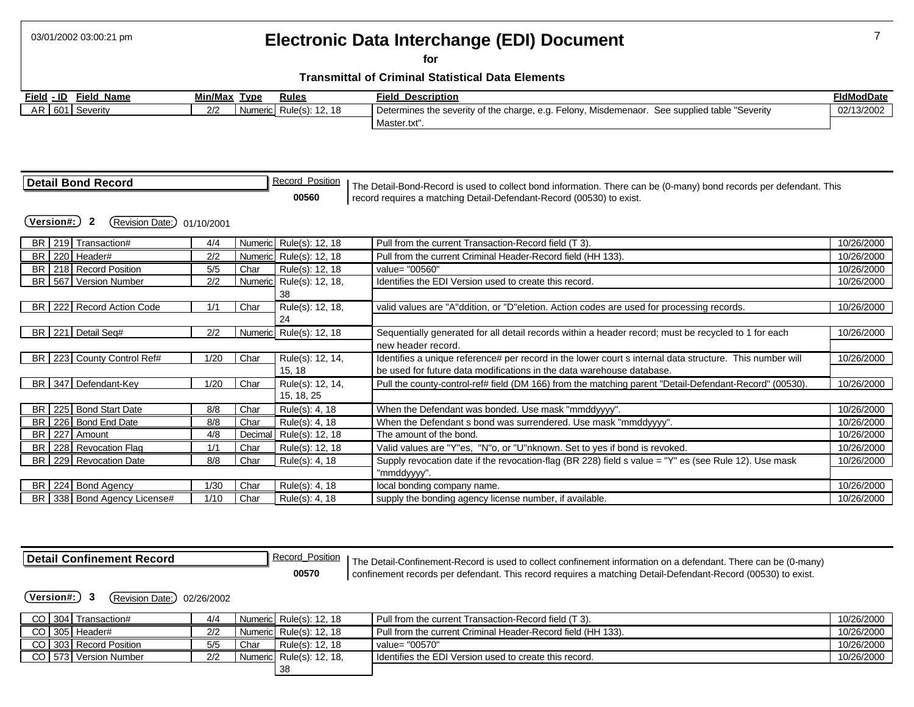### 03/01/2002 03:00:21 pm 7 **Electronic Data Interchange (EDI) Document**

**for** 

#### **Transmittal of Criminal Statistical Data Elements**

| Field - ID      | Field Name | Min/Max | Type    | <u>Rules</u>      | <b>Field Description</b>                                                                       | <b>FIdModDate</b> |
|-----------------|------------|---------|---------|-------------------|------------------------------------------------------------------------------------------------|-------------------|
| AR 601 Severity |            | 2/2     | Numeric | l Rule(s): 12. 18 | Determines the severity of the charge, e.g. Felony, Misdemenaor. See supplied table "Severity" | 02/13/2002        |
|                 |            |         |         |                   | Master.txt".                                                                                   |                   |

| Detail Bond Record | Record Position | The Detail-Bond-Record is used to collect bond information. There can be (0-many) bond records per defendant. This |
|--------------------|-----------------|--------------------------------------------------------------------------------------------------------------------|
|                    | 00560           | record requires a matching Detail-Defendant-Record (00530) to exist.                                               |

**(Version#:) 2** (Revision Date:) 01/10/2001

| BR 219 Transaction#             | 4/4  |         | Numeric Rule(s): 12, 18 | Pull from the current Transaction-Record field (T 3).                                                    | 10/26/2000 |
|---------------------------------|------|---------|-------------------------|----------------------------------------------------------------------------------------------------------|------------|
| BR 220 Header#                  | 2/2  |         | Numeric Rule(s): 12, 18 | Pull from the current Criminal Header-Record field (HH 133).                                             | 10/26/2000 |
| BR   218   Record Position      | 5/5  | Char    | Rule(s): 12, 18         | value= "00560"                                                                                           | 10/26/2000 |
| BR 567 Version Number           | 2/2  | Numeric | Rule(s): 12, 18,        | Identifies the EDI Version used to create this record.                                                   | 10/26/2000 |
|                                 |      |         | 38                      |                                                                                                          |            |
| BR   222   Record Action Code   | 1/1  | Char    | Rule(s): 12, 18,        | valid values are "A"ddition, or "D"eletion. Action codes are used for processing records.                | 10/26/2000 |
|                                 |      |         | 24                      |                                                                                                          |            |
| BR 221 Detail Seq#              | 2/2  |         | Numeric Rule(s): 12, 18 | Sequentially generated for all detail records within a header record; must be recycled to 1 for each     | 10/26/2000 |
|                                 |      |         |                         | new header record.                                                                                       |            |
| BR 223 County Control Ref#      | 1/20 | Char    | Rule(s): 12, 14,        | Identifies a unique reference# per record in the lower court s internal data structure. This number will | 10/26/2000 |
|                                 |      |         | 15, 18                  | be used for future data modifications in the data warehouse database.                                    |            |
| BR 347 Defendant-Key            | 1/20 | Char    | Rule(s): 12, 14,        | Pull the county-control-ref# field (DM 166) from the matching parent "Detail-Defendant-Record" (00530).  | 10/26/2000 |
|                                 |      |         | 15, 18, 25              |                                                                                                          |            |
| BR   225   Bond Start Date      | 8/8  | Char    | Rule(s): 4, 18          | When the Defendant was bonded. Use mask "mmddyyyy".                                                      | 10/26/2000 |
| BR 226 Bond End Date            | 8/8  | Char    | Rule(s): $4, 18$        | When the Defendant s bond was surrendered. Use mask "mmddyyyy".                                          | 10/26/2000 |
| BR 227 Amount                   | 4/8  | Decimal | Rule(s): 12, 18         | The amount of the bond.                                                                                  | 10/26/2000 |
| BR 228 Revocation Flag          | 1/1  | Char    | Rule(s): 12, 18         | Valid values are "Y"es, "N"o, or "U"nknown. Set to yes if bond is revoked.                               | 10/26/2000 |
| BR   229   Revocation Date      | 8/8  | Char    | Rule(s): 4, 18          | Supply revocation date if the revocation-flag (BR 228) field s value = "Y" es (see Rule 12). Use mask    | 10/26/2000 |
|                                 |      |         |                         | "mmddyyyy".                                                                                              |            |
| BR 224 Bond Agency              | 1/30 | Char    | Rule(s): 4, 18          | local bonding company name.                                                                              | 10/26/2000 |
| BR   338   Bond Agency License# | 1/10 | Char    | Rule(s): 4, 18          | supply the bonding agency license number, if available.                                                  | 10/26/2000 |

**Detail Confinement Record**<br> **Record Position** The Detail-Confinement-Record is used to collect confinement information on a defendant. There can be (0-many)<br> **Confinement records per defendant. This record requires a matc 00570** confinement records per defendant. This record requires a matching Detail-Defendant-Record (00530) to exist.

**(Version#:) 3** (Revision Date:) 02/26/2002

| CO I | 304 Transaction#      | 4/4 |      | Numeric Rule(s): 12, 18  | Pull from the current Transaction-Record field (T 3).        | 10/26/2000 |
|------|-----------------------|-----|------|--------------------------|--------------------------------------------------------------|------------|
|      | CO 305 Header#        | 2/2 |      | Numeric Rule(s): 12, 18  | Pull from the current Criminal Header-Record field (HH 133). | 10/26/2000 |
| CO I | 303 Record Position   | 5/5 | Char | Rule(s): 12, 18          | value= "00570"                                               | 10/26/2000 |
|      | CO 573 Version Number | 2/2 |      | Numeric Rule(s): 12, 18. | I Identifies the EDI Version used to create this record.     | 10/26/2000 |
|      |                       |     |      | -38                      |                                                              |            |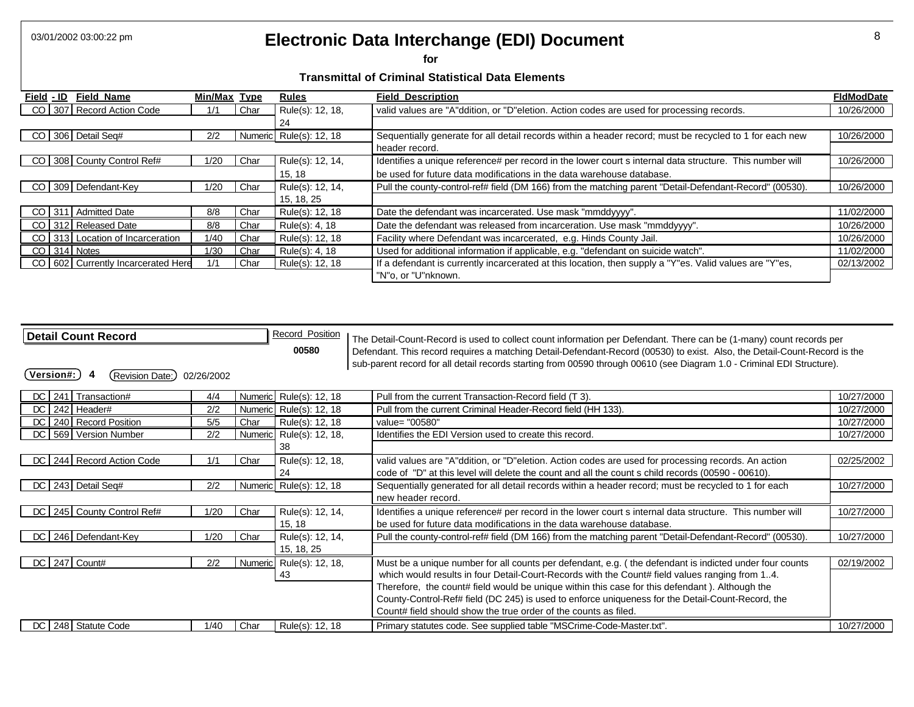# 03/01/2002 03:00:22 pm **Electronic Data Interchange (EDI) Document** 8 8

**for** 

| <b>Field Name</b><br>Field - ID        | Min/Max Type |      | <b>Rules</b>            | <b>Field Description</b>                                                                                 | <b>FIdModDate</b> |
|----------------------------------------|--------------|------|-------------------------|----------------------------------------------------------------------------------------------------------|-------------------|
| CO 307 Record Action Code              | 1/1          | Char | Rule(s): 12, 18,        | valid values are "A"ddition, or "D"eletion. Action codes are used for processing records.                | 10/26/2000        |
|                                        |              |      | 24                      |                                                                                                          |                   |
| CO 306 Detail Seq#                     | 2/2          |      | Numeric Rule(s): 12, 18 | Sequentially generate for all detail records within a header record; must be recycled to 1 for each new  | 10/26/2000        |
|                                        |              |      |                         | header record.                                                                                           |                   |
| CO 308 County Control Ref#             | 1/20         | Char | Rule(s): 12, 14,        | Identifies a unique reference# per record in the lower court s internal data structure. This number will | 10/26/2000        |
|                                        |              |      | 15, 18                  | be used for future data modifications in the data warehouse database.                                    |                   |
| CO 309 Defendant-Key                   | 1/20         | Char | Rule(s): 12, 14,        | Pull the county-control-ref# field (DM 166) from the matching parent "Detail-Defendant-Record" (00530).  | 10/26/2000        |
|                                        |              |      | 15, 18, 25              |                                                                                                          |                   |
| CO 311 Admitted Date                   | 8/8          | Char | Rule(s): 12, 18         | Date the defendant was incarcerated. Use mask "mmddyyyy".                                                | 11/02/2000        |
| CO 312 Released Date                   | 8/8          | Char | Rule(s): 4, 18          | Date the defendant was released from incarceration. Use mask "mmddyyyy".                                 | 10/26/2000        |
| CO 313 Location of Incarceration       | 1/40         | Char | Rule(s): 12, 18         | Facility where Defendant was incarcerated, e.g. Hinds County Jail.                                       | 10/26/2000        |
| CO 314 Notes                           | 1/30         | Char | Rule(s): 4, 18          | Used for additional information if applicable, e.g. "defendant on suicide watch".                        | 11/02/2000        |
| CO   602   Currently Incarcerated Here | 1/1          | Char | Rule(s): 12, 18         | If a defendant is currently incarcerated at this location, then supply a "Y"es. Valid values are "Y"es,  | 02/13/2002        |
|                                        |              |      |                         | "N"o. or "U"nknown.                                                                                      |                   |

| <b>Detail Count Record</b><br>Version#:<br>(Revision Date:) | 02/26/2002 |         | <b>Record Position</b><br>00580 | The Detail-Count-Record is used to collect count information per Defendant. There can be (1-many) count records per<br>Defendant. This record requires a matching Detail-Defendant-Record (00530) to exist. Also, the Detail-Count-Record is the<br>sub-parent record for all detail records starting from 00590 through 00610 (see Diagram 1.0 - Criminal EDI Structure). |            |
|-------------------------------------------------------------|------------|---------|---------------------------------|----------------------------------------------------------------------------------------------------------------------------------------------------------------------------------------------------------------------------------------------------------------------------------------------------------------------------------------------------------------------------|------------|
| DC 241 Transaction#                                         | 4/4        |         | Numeric Rule(s): 12, 18         | Pull from the current Transaction-Record field (T 3).                                                                                                                                                                                                                                                                                                                      | 10/27/2000 |
| DC 242 Header#                                              | 2/2        |         | Numeric Rule(s): 12, 18         | Pull from the current Criminal Header-Record field (HH 133).                                                                                                                                                                                                                                                                                                               | 10/27/2000 |
| DC 240 Record Position                                      | 5/5        | Char    | Rule(s): 12, 18                 | value= "00580"                                                                                                                                                                                                                                                                                                                                                             | 10/27/2000 |
| DC 569 Version Number                                       | 2/2        |         | Numeric Rule(s): 12, 18,        | Identifies the EDI Version used to create this record.                                                                                                                                                                                                                                                                                                                     | 10/27/2000 |
|                                                             |            |         | 38                              |                                                                                                                                                                                                                                                                                                                                                                            |            |
| DC   244   Record Action Code                               | 1/1        | Char    | Rule(s): 12, 18,                | valid values are "A"ddition, or "D"eletion. Action codes are used for processing records. An action                                                                                                                                                                                                                                                                        | 02/25/2002 |
|                                                             |            |         | 24                              | code of "D" at this level will delete the count and all the count s child records (00590 - 00610).                                                                                                                                                                                                                                                                         |            |
| DC 243 Detail Seq#                                          | 2/2        |         | Numeric Rule(s): 12, 18         | Sequentially generated for all detail records within a header record; must be recycled to 1 for each                                                                                                                                                                                                                                                                       | 10/27/2000 |
|                                                             |            |         |                                 | new header record.                                                                                                                                                                                                                                                                                                                                                         |            |
| DC   245   County Control Ref#                              | 1/20       | Char    | Rule(s): 12, 14,                | Identifies a unique reference# per record in the lower court s internal data structure. This number will                                                                                                                                                                                                                                                                   | 10/27/2000 |
|                                                             |            |         | 15, 18                          | be used for future data modifications in the data warehouse database.                                                                                                                                                                                                                                                                                                      |            |
| DC   246   Defendant-Key                                    | 1/20       | Char    | Rule(s): 12, 14,                | Pull the county-control-ref# field (DM 166) from the matching parent "Detail-Defendant-Record" (00530).                                                                                                                                                                                                                                                                    | 10/27/2000 |
|                                                             |            |         | 15, 18, 25                      |                                                                                                                                                                                                                                                                                                                                                                            |            |
| $DC$ 247 Count#                                             | 2/2        | Numeric | Rule(s): 12, 18,                | Must be a unique number for all counts per defendant, e.g. (the defendant is indicted under four counts                                                                                                                                                                                                                                                                    | 02/19/2002 |
|                                                             |            |         | 43                              | which would results in four Detail-Court-Records with the Count# field values ranging from 14.                                                                                                                                                                                                                                                                             |            |
|                                                             |            |         |                                 | Therefore, the count# field would be unique within this case for this defendant). Although the                                                                                                                                                                                                                                                                             |            |
|                                                             |            |         |                                 | County-Control-Ref# field (DC 245) is used to enforce uniqueness for the Detail-Count-Record, the                                                                                                                                                                                                                                                                          |            |
|                                                             |            |         |                                 | Count# field should show the true order of the counts as filed.                                                                                                                                                                                                                                                                                                            |            |
| DC 248 Statute Code                                         | 1/40       | Char    | Rule(s): 12, 18                 | Primary statutes code. See supplied table "MSCrime-Code-Master.txt".                                                                                                                                                                                                                                                                                                       | 10/27/2000 |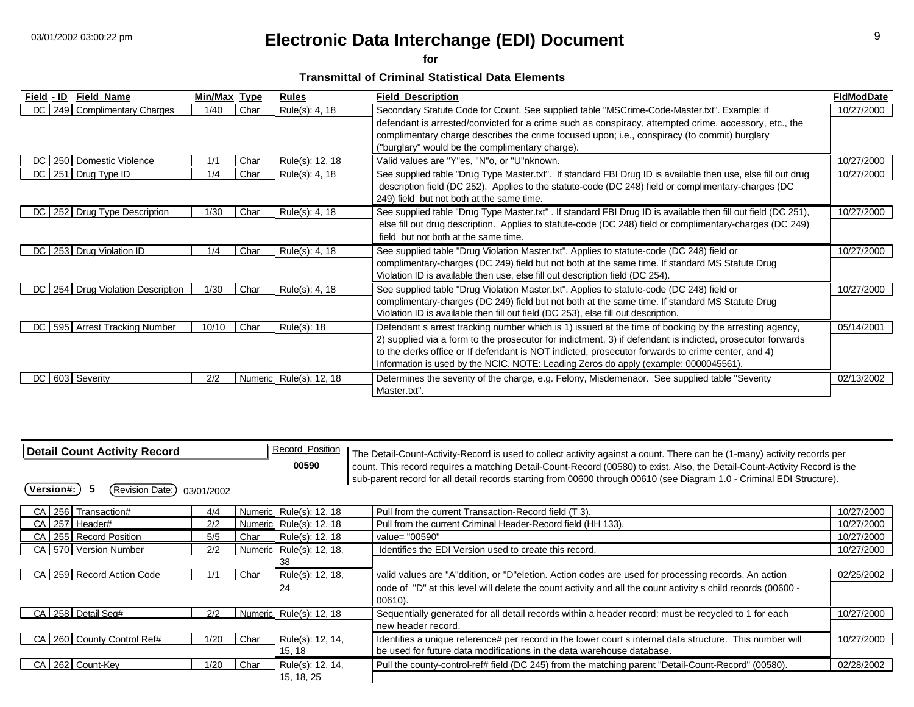# 03/01/2002 03:00:22 pm **Property Contains Electronic Data Interchange (EDI) Document Property**

**for** 

| <b>Field Name</b><br>Field - ID       | Min/Max Type |      | <b>Rules</b>            | <b>Field Description</b>                                                                                       | <b>FidModDate</b> |
|---------------------------------------|--------------|------|-------------------------|----------------------------------------------------------------------------------------------------------------|-------------------|
| 249 Complimentary Charges<br>DC.      | 1/40         | Char | Rule(s): 4, 18          | Secondary Statute Code for Count. See supplied table "MSCrime-Code-Master.txt". Example: if                    | 10/27/2000        |
|                                       |              |      |                         | defendant is arrested/convicted for a crime such as conspiracy, attempted crime, accessory, etc., the          |                   |
|                                       |              |      |                         | complimentary charge describes the crime focused upon; i.e., conspiracy (to commit) burglary                   |                   |
|                                       |              |      |                         | ("burglary" would be the complimentary charge).                                                                |                   |
| 250 Domestic Violence<br>DC.          | 1/1          | Char | Rule(s): 12, 18         | Valid values are "Y"es, "N"o, or "U"nknown.                                                                    | 10/27/2000        |
| 251 Drug Type ID<br>DC.               | 1/4          | Char | Rule(s): 4, 18          | See supplied table "Drug Type Master.txt". If standard FBI Drug ID is available then use, else fill out drug   | 10/27/2000        |
|                                       |              |      |                         | description field (DC 252). Applies to the statute-code (DC 248) field or complimentary-charges (DC            |                   |
|                                       |              |      |                         | 249) field but not both at the same time.                                                                      |                   |
| 252 Drug Type Description<br>DC.      | 1/30         | Char | Rule(s): 4, 18          | See supplied table "Drug Type Master.txt" . If standard FBI Drug ID is available then fill out field (DC 251), | 10/27/2000        |
|                                       |              |      |                         | else fill out drug description. Applies to statute-code (DC 248) field or complimentary-charges (DC 249)       |                   |
|                                       |              |      |                         | field but not both at the same time.                                                                           |                   |
| 253 Drug Violation ID<br>DC           | 1/4          | Char | Rule(s): 4, 18          | See supplied table "Drug Violation Master.txt". Applies to statute-code (DC 248) field or                      | 10/27/2000        |
|                                       |              |      |                         | complimentary-charges (DC 249) field but not both at the same time. If standard MS Statute Drug                |                   |
|                                       |              |      |                         | Violation ID is available then use, else fill out description field (DC 254).                                  |                   |
| 254 Drug Violation Description<br>DC. | 1/30         | Char | Rule(s): 4, 18          | See supplied table "Drug Violation Master.txt". Applies to statute-code (DC 248) field or                      | 10/27/2000        |
|                                       |              |      |                         | complimentary-charges (DC 249) field but not both at the same time. If standard MS Statute Drug                |                   |
|                                       |              |      |                         | Violation ID is available then fill out field (DC 253), else fill out description.                             |                   |
| 595 Arrest Tracking Number<br>DC.     | 10/10        | Char | Rule(s): 18             | Defendant s arrest tracking number which is 1) issued at the time of booking by the arresting agency,          | 05/14/2001        |
|                                       |              |      |                         | 2) supplied via a form to the prosecutor for indictment, 3) if defendant is indicted, prosecutor forwards      |                   |
|                                       |              |      |                         | to the clerks office or If defendant is NOT indicted, prosecutor forwards to crime center, and 4)              |                   |
|                                       |              |      |                         | Information is used by the NCIC. NOTE: Leading Zeros do apply (example: 0000045561).                           |                   |
| 603 Severity<br>DC.                   | 2/2          |      | Numeric Rule(s): 12, 18 | Determines the severity of the charge, e.g. Felony, Misdemenaor. See supplied table "Severity                  | 02/13/2002        |
|                                       |              |      |                         | Master.txt".                                                                                                   |                   |

| Detail Count Activity Record<br>(Revision Date:)<br>Version#:<br>5 | 03/01/2002 |      | <b>Record Position</b><br>00590 | The Detail-Count-Activity-Record is used to collect activity against a count. There can be (1-many) activity records per<br>count. This record requires a matching Detail-Count-Record (00580) to exist. Also, the Detail-Count-Activity Record is the<br>sub-parent record for all detail records starting from 00600 through 00610 (see Diagram 1.0 - Criminal EDI Structure). |            |
|--------------------------------------------------------------------|------------|------|---------------------------------|----------------------------------------------------------------------------------------------------------------------------------------------------------------------------------------------------------------------------------------------------------------------------------------------------------------------------------------------------------------------------------|------------|
| CA 256 Transaction#                                                | 4/4        |      | Numeric Rule(s): 12, 18         | Pull from the current Transaction-Record field (T 3).                                                                                                                                                                                                                                                                                                                            | 10/27/2000 |
| CA 257 Header#                                                     | 2/2        |      | Numeric Rule(s): 12, 18         | Pull from the current Criminal Header-Record field (HH 133).                                                                                                                                                                                                                                                                                                                     | 10/27/2000 |
| 255 Record Position<br>CA I                                        | 5/5        | Char | Rule(s): 12, 18                 | value= "00590"                                                                                                                                                                                                                                                                                                                                                                   | 10/27/2000 |
| CA 570 Version Number                                              | 2/2        |      | Numeric Rule(s): 12, 18,        | Identifies the EDI Version used to create this record.                                                                                                                                                                                                                                                                                                                           | 10/27/2000 |
|                                                                    |            |      | 38                              |                                                                                                                                                                                                                                                                                                                                                                                  |            |
| CA 259 Record Action Code                                          | 1/1        | Char | Rule(s): 12, 18,                | valid values are "A"ddition, or "D"eletion. Action codes are used for processing records. An action                                                                                                                                                                                                                                                                              | 02/25/2002 |
|                                                                    |            |      | 24                              | code of "D" at this level will delete the count activity and all the count activity s child records (00600 -<br>00610).                                                                                                                                                                                                                                                          |            |
| CA 258 Detail Seq#                                                 | 2/2        |      | Numeric Rule(s): 12, 18         | Sequentially generated for all detail records within a header record; must be recycled to 1 for each<br>new header record.                                                                                                                                                                                                                                                       | 10/27/2000 |
| CA 260 County Control Ref#                                         | 1/20       | Char | Rule(s): 12, 14,                | Identifies a unique reference# per record in the lower court s internal data structure. This number will                                                                                                                                                                                                                                                                         | 10/27/2000 |
|                                                                    |            |      | 15, 18                          | be used for future data modifications in the data warehouse database.                                                                                                                                                                                                                                                                                                            |            |
| 262 Count-Key<br>CA                                                | 1/20       | Char | Rule(s): 12, 14,<br>15, 18, 25  | Pull the county-control-ref# field (DC 245) from the matching parent "Detail-Count-Record" (00580).                                                                                                                                                                                                                                                                              | 02/28/2002 |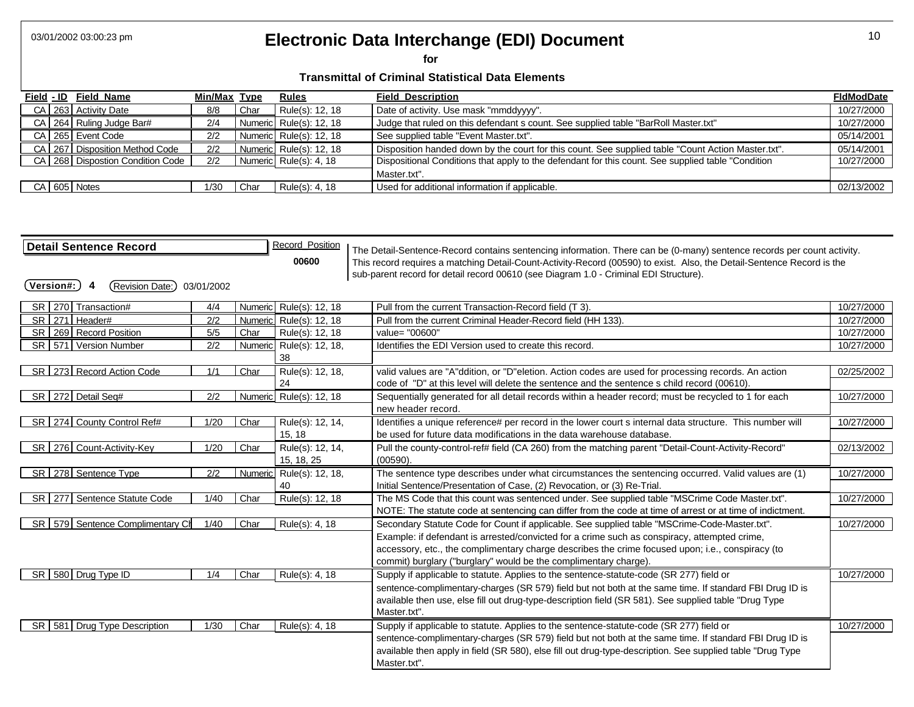# 03/01/2002 03:00:23 pm 10 **Electronic Data Interchange (EDI) Document**

**for** 

|  | Field - ID Field Name                | Min/Max Type |      | <b>Rules</b>            | <b>Field Description</b>                                                                           | <b>FIdModDate</b> |
|--|--------------------------------------|--------------|------|-------------------------|----------------------------------------------------------------------------------------------------|-------------------|
|  | CA 263 Activity Date                 | 8/8          | Char | Rule(s): 12, 18         | Date of activity. Use mask "mmddyyyy".                                                             | 10/27/2000        |
|  | CA 264 Ruling Judge Bar#             | 2/4          |      | Numeric Rule(s): 12, 18 | Judge that ruled on this defendant s count. See supplied table "BarRoll Master.txt"                | 10/27/2000        |
|  | CA 265 Event Code                    | 2/2          |      | Numeric Rule(s): 12, 18 | See supplied table "Event Master.txt".                                                             | 05/14/2001        |
|  | CA 267 Disposition Method Code       | 2/2          |      | Numeric Rule(s): 12, 18 | Disposition handed down by the court for this count. See supplied table "Count Action Master.txt". | 05/14/2001        |
|  | CA   268   Dispostion Condition Code | 2/2          |      | Numeric Rule(s): 4, 18  | Dispositional Conditions that apply to the defendant for this count. See supplied table "Condition | 10/27/2000        |
|  |                                      |              |      |                         | Master.txt".                                                                                       |                   |
|  | CA 605 Notes                         | 1/30         | Char | Rule(s): $4, 18$        | Used for additional information if applicable.                                                     | 02/13/2002        |

| <b>Detail Sentence Record</b><br>$(\mathsf{Version}\texttt{\#:})$<br>(Revision Date:) 03/01/2002<br>4 |      |      | Record Position<br>00600 | The Detail-Sentence-Record contains sentencing information. There can be (0-many) sentence records per count activity.<br>This record requires a matching Detail-Count-Activity-Record (00590) to exist. Also, the Detail-Sentence Record is the<br>sub-parent record for detail record 00610 (see Diagram 1.0 - Criminal EDI Structure). |            |
|-------------------------------------------------------------------------------------------------------|------|------|--------------------------|-------------------------------------------------------------------------------------------------------------------------------------------------------------------------------------------------------------------------------------------------------------------------------------------------------------------------------------------|------------|
| SR 270 Transaction#                                                                                   | 4/4  |      | Numeric Rule(s): 12, 18  | Pull from the current Transaction-Record field (T 3).                                                                                                                                                                                                                                                                                     | 10/27/2000 |
| SR 271 Header#                                                                                        | 2/2  |      | Numeric Rule(s): 12, 18  | Pull from the current Criminal Header-Record field (HH 133).                                                                                                                                                                                                                                                                              | 10/27/2000 |
| SR   269   Record Position                                                                            | 5/5  | Char | Rule(s): 12, 18          | value= "00600"                                                                                                                                                                                                                                                                                                                            | 10/27/2000 |
| SR   571   Version Number                                                                             | 2/2  |      | Numeric Rule(s): 12, 18, | Identifies the EDI Version used to create this record.                                                                                                                                                                                                                                                                                    | 10/27/2000 |
|                                                                                                       |      |      | 38                       |                                                                                                                                                                                                                                                                                                                                           |            |
| SR 273 Record Action Code                                                                             | 1/1  | Char | Rule(s): 12, 18,         | valid values are "A"ddition, or "D"eletion. Action codes are used for processing records. An action                                                                                                                                                                                                                                       | 02/25/2002 |
|                                                                                                       |      |      | 24                       | code of "D" at this level will delete the sentence and the sentence s child record (00610).                                                                                                                                                                                                                                               |            |
| SR 272 Detail Seq#                                                                                    | 2/2  |      | Numeric Rule(s): 12, 18  | Sequentially generated for all detail records within a header record; must be recycled to 1 for each                                                                                                                                                                                                                                      | 10/27/2000 |
|                                                                                                       |      |      |                          | new header record.                                                                                                                                                                                                                                                                                                                        |            |
| SR 274 County Control Ref#                                                                            | 1/20 | Char | Rule(s): 12, 14,         | Identifies a unique reference# per record in the lower court s internal data structure. This number will                                                                                                                                                                                                                                  | 10/27/2000 |
|                                                                                                       |      |      | 15, 18                   | be used for future data modifications in the data warehouse database.                                                                                                                                                                                                                                                                     |            |
| SR 276 Count-Activity-Key                                                                             | 1/20 | Char | Rule(s): 12, 14,         | Pull the county-control-ref# field (CA 260) from the matching parent "Detail-Count-Activity-Record"                                                                                                                                                                                                                                       | 02/13/2002 |
|                                                                                                       |      |      | 15, 18, 25               | (00590).                                                                                                                                                                                                                                                                                                                                  |            |
| SR 278 Sentence Type                                                                                  | 2/2  |      | Numeric Rule(s): 12, 18, | The sentence type describes under what circumstances the sentencing occurred. Valid values are (1)                                                                                                                                                                                                                                        | 10/27/2000 |
|                                                                                                       |      |      | 40                       | Initial Sentence/Presentation of Case, (2) Revocation, or (3) Re-Trial.                                                                                                                                                                                                                                                                   |            |
| SR   277   Sentence Statute Code                                                                      | 1/40 | Char | Rule(s): 12, 18          | The MS Code that this count was sentenced under. See supplied table "MSCrime Code Master.txt".                                                                                                                                                                                                                                            | 10/27/2000 |
|                                                                                                       |      |      |                          | NOTE: The statute code at sentencing can differ from the code at time of arrest or at time of indictment.                                                                                                                                                                                                                                 |            |
| SR 579 Sentence Complimentary Ch                                                                      | 1/40 | Char | Rule(s): 4, 18           | Secondary Statute Code for Count if applicable. See supplied table "MSCrime-Code-Master.txt".                                                                                                                                                                                                                                             | 10/27/2000 |
|                                                                                                       |      |      |                          | Example: if defendant is arrested/convicted for a crime such as conspiracy, attempted crime,                                                                                                                                                                                                                                              |            |
|                                                                                                       |      |      |                          | accessory, etc., the complimentary charge describes the crime focused upon; i.e., conspiracy (to                                                                                                                                                                                                                                          |            |
|                                                                                                       |      |      |                          | commit) burglary ("burglary" would be the complimentary charge).                                                                                                                                                                                                                                                                          |            |
| SR 580 Drug Type ID                                                                                   | 1/4  | Char | Rule(s): 4, 18           | Supply if applicable to statute. Applies to the sentence-statute-code (SR 277) field or                                                                                                                                                                                                                                                   | 10/27/2000 |
|                                                                                                       |      |      |                          | sentence-complimentary-charges (SR 579) field but not both at the same time. If standard FBI Drug ID is                                                                                                                                                                                                                                   |            |
|                                                                                                       |      |      |                          | available then use, else fill out drug-type-description field (SR 581). See supplied table "Drug Type                                                                                                                                                                                                                                     |            |
|                                                                                                       |      |      |                          | Master.txt".                                                                                                                                                                                                                                                                                                                              |            |
| SR 581 Drug Type Description                                                                          | 1/30 | Char | Rule(s): 4, 18           | Supply if applicable to statute. Applies to the sentence-statute-code (SR 277) field or                                                                                                                                                                                                                                                   | 10/27/2000 |
|                                                                                                       |      |      |                          | sentence-complimentary-charges (SR 579) field but not both at the same time. If standard FBI Drug ID is                                                                                                                                                                                                                                   |            |
|                                                                                                       |      |      |                          | available then apply in field (SR 580), else fill out drug-type-description. See supplied table "Drug Type                                                                                                                                                                                                                                |            |
|                                                                                                       |      |      |                          | Master.txt".                                                                                                                                                                                                                                                                                                                              |            |
|                                                                                                       |      |      |                          |                                                                                                                                                                                                                                                                                                                                           |            |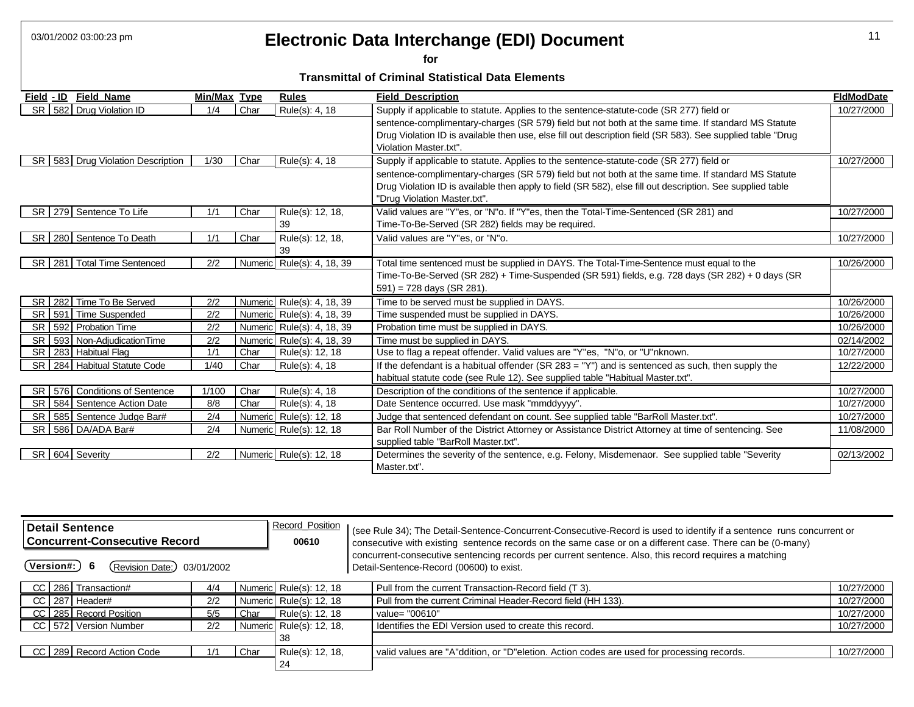# 03/01/2002 03:00:23 pm 11 **Electronic Data Interchange (EDI) Document**

**for** 

| Field - ID      | <b>Field Name</b>                     | Min/Max Type |      | <b>Rules</b>               | <b>Field Description</b>                                                                                    | <b>FIdModDate</b> |
|-----------------|---------------------------------------|--------------|------|----------------------------|-------------------------------------------------------------------------------------------------------------|-------------------|
|                 | SR 582 Drug Violation ID              | 1/4          | Char | Rule(s): 4, 18             | Supply if applicable to statute. Applies to the sentence-statute-code (SR 277) field or                     | 10/27/2000        |
|                 |                                       |              |      |                            | sentence-complimentary-charges (SR 579) field but not both at the same time. If standard MS Statute         |                   |
|                 |                                       |              |      |                            | Drug Violation ID is available then use, else fill out description field (SR 583). See supplied table "Drug |                   |
|                 |                                       |              |      |                            | Violation Master.txt".                                                                                      |                   |
|                 | SR   583   Drug Violation Description | 1/30         | Char | Rule(s): 4, 18             | Supply if applicable to statute. Applies to the sentence-statute-code (SR 277) field or                     | 10/27/2000        |
|                 |                                       |              |      |                            | sentence-complimentary-charges (SR 579) field but not both at the same time. If standard MS Statute         |                   |
|                 |                                       |              |      |                            | Drug Violation ID is available then apply to field (SR 582), else fill out description. See supplied table  |                   |
|                 |                                       |              |      |                            | "Drug Violation Master.txt".                                                                                |                   |
|                 | SR   279   Sentence To Life           | 1/1          | Char | Rule(s): 12, 18,           | Valid values are "Y"es, or "N"o. If "Y"es, then the Total-Time-Sentenced (SR 281) and                       | 10/27/2000        |
|                 |                                       |              |      | 39                         | Time-To-Be-Served (SR 282) fields may be required.                                                          |                   |
|                 | SR 280 Sentence To Death              | 1/1          | Char | Rule(s): 12, 18,           | Valid values are "Y"es, or "N"o.                                                                            | 10/27/2000        |
|                 |                                       |              |      | 39                         |                                                                                                             |                   |
|                 | SR   281   Total Time Sentenced       | 2/2          |      | Numeric Rule(s): 4, 18, 39 | Total time sentenced must be supplied in DAYS. The Total-Time-Sentence must equal to the                    | 10/26/2000        |
|                 |                                       |              |      |                            | Time-To-Be-Served (SR 282) + Time-Suspended (SR 591) fields, e.g. 728 days (SR 282) + 0 days (SR            |                   |
|                 |                                       |              |      |                            | $591$ ) = 728 days (SR 281).                                                                                |                   |
|                 | SR 282 Time To Be Served              | 2/2          |      | Numeric Rule(s): 4, 18, 39 | Time to be served must be supplied in DAYS.                                                                 | 10/26/2000        |
|                 | SR 591 Time Suspended                 | 2/2          |      | Numeric Rule(s): 4, 18, 39 | Time suspended must be supplied in DAYS.                                                                    | 10/26/2000        |
| SR I            | 592 Probation Time                    | 2/2          |      | Numeric Rule(s): 4, 18, 39 | Probation time must be supplied in DAYS.                                                                    | 10/26/2000        |
|                 | SR   593   Non-AdjudicationTime       | 2/2          |      | Numeric Rule(s): 4, 18, 39 | Time must be supplied in DAYS.                                                                              | 02/14/2002        |
|                 | SR   283   Habitual Flag              | 1/1          | Char | Rule(s): 12, 18            | Use to flag a repeat offender. Valid values are "Y"es, "N"o, or "U"nknown.                                  | 10/27/2000        |
|                 | SR 284 Habitual Statute Code          | 1/40         | Char | Rule(s): 4, 18             | If the defendant is a habitual offender ( $SR$ 283 = " $Y$ ") and is sentenced as such, then supply the     | 12/22/2000        |
|                 |                                       |              |      |                            | habitual statute code (see Rule 12). See supplied table "Habitual Master.txt".                              |                   |
|                 | SR   576   Conditions of Sentence     | 1/100        | Char | Rule(s): 4, 18             | Description of the conditions of the sentence if applicable.                                                | 10/27/2000        |
|                 | SR   584   Sentence Action Date       | 8/8          | Char | Rule(s): 4, 18             | Date Sentence occurred. Use mask "mmddyyyy".                                                                | 10/27/2000        |
| <b>SR</b>       | 585 Sentence Judge Bar#               | 2/4          |      | Numeric Rule(s): 12, 18    | Judge that sentenced defendant on count. See supplied table "BarRoll Master.txt".                           | 10/27/2000        |
|                 | SR 586 DA/ADA Bar#                    | 2/4          |      | Numeric Rule(s): 12, 18    | Bar Roll Number of the District Attorney or Assistance District Attorney at time of sentencing. See         | 11/08/2000        |
|                 |                                       |              |      |                            | supplied table "BarRoll Master.txt".                                                                        |                   |
| SR 604 Severity |                                       | 2/2          |      | Numeric Rule(s): 12, 18    | Determines the severity of the sentence, e.g. Felony, Misdemenaor. See supplied table "Severity             | 02/13/2002        |
|                 |                                       |              |      |                            | Master.txt".                                                                                                |                   |

| <b>Detail Sentence</b><br><b>Concurrent-Consecutive Record</b><br>00610 |     |      | <b>Record Position</b>   |  | (see Rule 34); The Detail-Sentence-Concurrent-Consecutive-Record is used to identify if a sentence runs concurrent or<br>consecutive with existing sentence records on the same case or on a different case. There can be (0-many) |            |
|-------------------------------------------------------------------------|-----|------|--------------------------|--|------------------------------------------------------------------------------------------------------------------------------------------------------------------------------------------------------------------------------------|------------|
| Version#:)<br>(Revision Date:)<br>03/01/2002                            |     |      |                          |  | concurrent-consecutive sentencing records per current sentence. Also, this record requires a matching<br>Detail-Sentence-Record (00600) to exist.                                                                                  |            |
| CC 286 Transaction#                                                     | 4/4 |      | Numeric Rule(s): 12, 18  |  | Pull from the current Transaction-Record field (T 3).                                                                                                                                                                              | 10/27/2000 |
| CC 287 Header#                                                          | 2/2 |      | Numeric Rule(s): 12, 18  |  | Pull from the current Criminal Header-Record field (HH 133).                                                                                                                                                                       | 10/27/2000 |
| CC 285 Record Position                                                  | 5/5 | Char | Rule(s): 12, 18          |  | value= "00610"                                                                                                                                                                                                                     | 10/27/2000 |
| CC 572 Version Number                                                   | 2/2 |      | Numeric Rule(s): 12, 18, |  | Identifies the EDI Version used to create this record.                                                                                                                                                                             | 10/27/2000 |
|                                                                         |     |      | 38                       |  |                                                                                                                                                                                                                                    |            |
| CC 289 Record Action Code                                               | 1/1 | Char | Rule(s): 12, 18,         |  | valid values are "A"ddition, or "D"eletion. Action codes are used for processing records.                                                                                                                                          | 10/27/2000 |
|                                                                         |     |      | 24                       |  |                                                                                                                                                                                                                                    |            |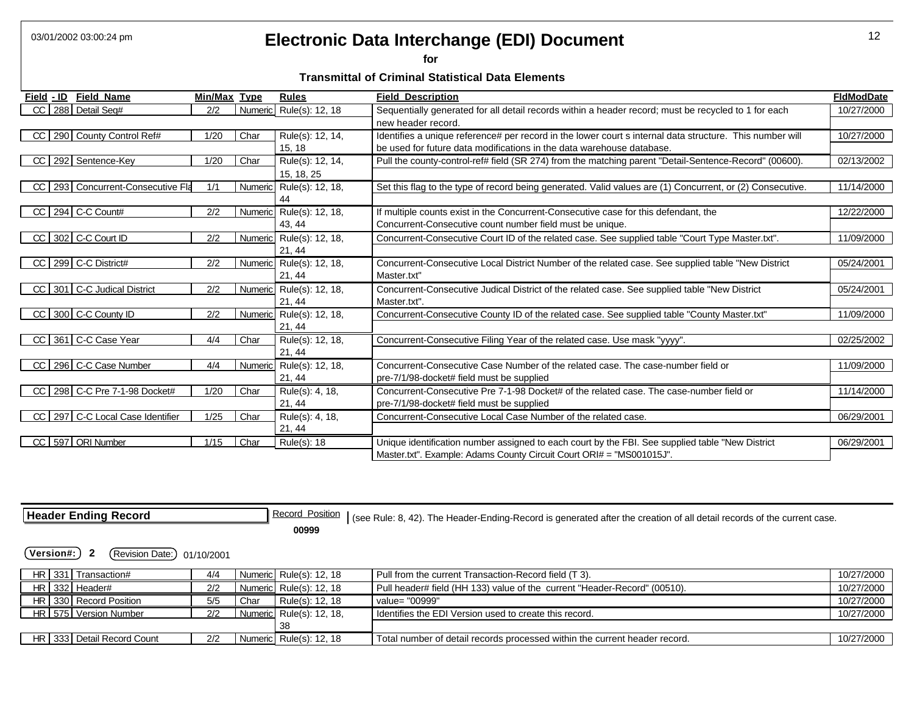### 03/01/2002 03:00:24 pm 12 **Electronic Data Interchange (EDI) Document**

**for** 

#### **Transmittal of Criminal Statistical Data Elements**

| Field - ID<br><b>Field Name</b>      | Min/Max | <b>Type</b> | <b>Rules</b>             | <b>Field Description</b>                                                                                  | <b>FIdModDate</b> |
|--------------------------------------|---------|-------------|--------------------------|-----------------------------------------------------------------------------------------------------------|-------------------|
| CC<br>288 Detail Seq#                | 2/2     |             | Numeric Rule(s): 12, 18  | Sequentially generated for all detail records within a header record; must be recycled to 1 for each      | 10/27/2000        |
|                                      |         |             |                          | new header record.                                                                                        |                   |
| 290 County Control Ref#<br>CC        | 1/20    | Char        | Rule(s): 12, 14,         | Identifies a unique reference# per record in the lower court s internal data structure. This number will  | 10/27/2000        |
|                                      |         |             | 15, 18                   | be used for future data modifications in the data warehouse database.                                     |                   |
| CC<br>292 Sentence-Key               | 1/20    | Char        | Rule(s): 12, 14,         | Pull the county-control-ref# field (SR 274) from the matching parent "Detail-Sentence-Record" (00600).    | 02/13/2002        |
|                                      |         |             | 15, 18, 25               |                                                                                                           |                   |
| 293 Concurrent-Consecutive Fla<br>CC | 1/1     |             | Numeric Rule(s): 12, 18, | Set this flag to the type of record being generated. Valid values are (1) Concurrent, or (2) Consecutive. | 11/14/2000        |
|                                      |         |             | 44                       |                                                                                                           |                   |
| 294 C-C Count#<br> CC                | 2/2     |             | Numeric Rule(s): 12, 18, | If multiple counts exist in the Concurrent-Consecutive case for this defendant, the                       | 12/22/2000        |
|                                      |         |             | 43, 44                   | Concurrent-Consecutive count number field must be unique.                                                 |                   |
| 302 C-C Court ID<br>CC               | 2/2     |             | Numeric Rule(s): 12, 18, | Concurrent-Consecutive Court ID of the related case. See supplied table "Court Type Master.txt".          | 11/09/2000        |
|                                      |         |             | 21, 44                   |                                                                                                           |                   |
| CC 299 C-C District#                 | 2/2     |             | Numeric Rule(s): 12, 18, | Concurrent-Consecutive Local District Number of the related case. See supplied table "New District        | 05/24/2001        |
|                                      |         |             | 21, 44                   | Master.txt"                                                                                               |                   |
| 301 C-C Judical District<br>CC       | 2/2     |             | Numeric Rule(s): 12, 18, | Concurrent-Consecutive Judical District of the related case. See supplied table "New District             | 05/24/2001        |
|                                      |         |             | 21, 44                   | Master.txt".                                                                                              |                   |
| 300 C-C County ID<br> CC             | 2/2     |             | Numeric Rule(s): 12, 18, | Concurrent-Consecutive County ID of the related case. See supplied table "County Master.txt"              | 11/09/2000        |
|                                      |         |             | 21, 44                   |                                                                                                           |                   |
| 361 C-C Case Year<br>CC              | 4/4     | Char        | Rule(s): 12, 18,         | Concurrent-Consecutive Filing Year of the related case. Use mask "yyyy".                                  | 02/25/2002        |
|                                      |         |             | 21, 44                   |                                                                                                           |                   |
| 296 C-C Case Number<br>CC            | 4/4     |             | Numeric Rule(s): 12, 18, | Concurrent-Consecutive Case Number of the related case. The case-number field or                          | 11/09/2000        |
|                                      |         |             | 21, 44                   | pre-7/1/98-docket# field must be supplied                                                                 |                   |
| 298 C-C Pre 7-1-98 Docket#<br>CC I   | 1/20    | Char        | Rule(s): 4, 18,          | Concurrent-Consecutive Pre 7-1-98 Docket# of the related case. The case-number field or                   | 11/14/2000        |
|                                      |         |             | 21, 44                   | pre-7/1/98-docket# field must be supplied                                                                 |                   |
| 297 C-C Local Case Identifier<br>CC  | 1/25    | Char        | Rule(s): 4, 18,          | Concurrent-Consecutive Local Case Number of the related case.                                             | 06/29/2001        |
|                                      |         |             | 21, 44                   |                                                                                                           |                   |
| CC 597 ORI Number                    | 1/15    | Char        | Rule(s): 18              | Unique identification number assigned to each court by the FBI. See supplied table "New District          | 06/29/2001        |
|                                      |         |             |                          | Master.txt". Example: Adams County Circuit Court ORI# = "MS001015J".                                      |                   |

**Header Ending Record Record Record Position** (see Rule: 8, 42). The Header-Ending-Record is generated after the creation of all detail records of the current case. **00999** 

**(Version#:) 2** (Revision Date:) 01/10/2001

| HR 331 Transaction#        | 4/4 |      | Numeric Rule(s): 12, 18  | Pull from the current Transaction-Record field (T 3).                      | 10/27/2000 |
|----------------------------|-----|------|--------------------------|----------------------------------------------------------------------------|------------|
| HR 332 Header#             | 2/2 |      | Numeric Rule(s): 12, 18  | Pull header# field (HH 133) value of the current "Header-Record" (00510).  | 10/27/2000 |
| HR 330 Record Position     | 5/5 | Char | Rule(s): 12, 18          | value= "00999"                                                             | 10/27/2000 |
| HR I 575   Version Number  | 2/2 |      | Numeric Rule(s): 12, 18, | Identifies the EDI Version used to create this record.                     | 10/27/2000 |
|                            |     |      |                          |                                                                            |            |
| HR 333 Detail Record Count | 2/2 |      | Numeric Rule(s): 12, 18  | Total number of detail records processed within the current header record. | 10/27/2000 |